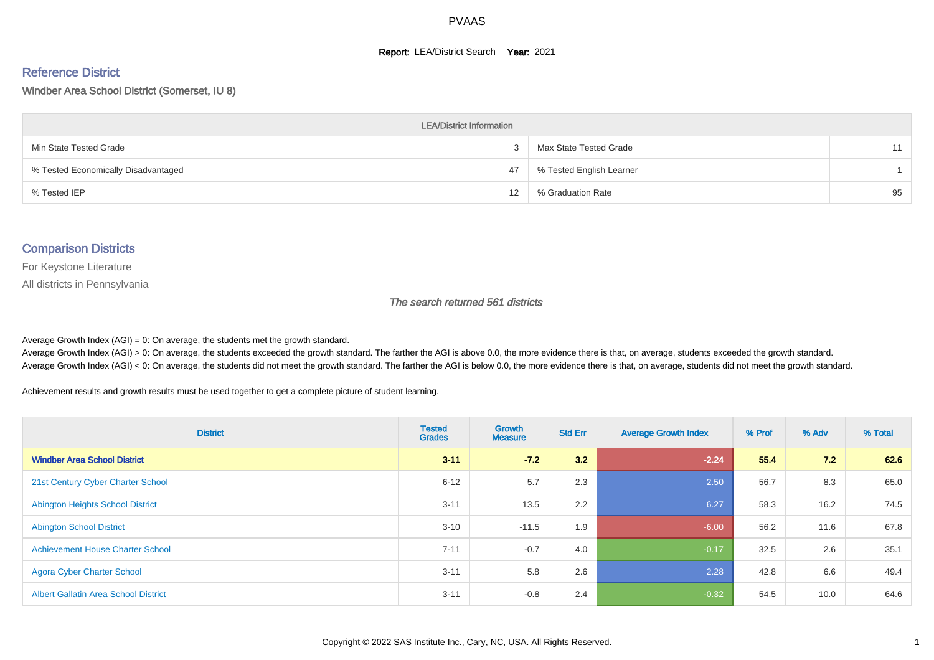#### **Report: LEA/District Search Year: 2021**

# Reference District

#### Windber Area School District (Somerset, IU 8)

| <b>LEA/District Information</b>     |    |                          |    |  |  |  |  |  |  |  |
|-------------------------------------|----|--------------------------|----|--|--|--|--|--|--|--|
| Min State Tested Grade              |    | Max State Tested Grade   | 11 |  |  |  |  |  |  |  |
| % Tested Economically Disadvantaged | 47 | % Tested English Learner |    |  |  |  |  |  |  |  |
| % Tested IEP                        | 12 | % Graduation Rate        | 95 |  |  |  |  |  |  |  |

#### Comparison Districts

For Keystone Literature

All districts in Pennsylvania

The search returned 561 districts

Average Growth Index  $(AGI) = 0$ : On average, the students met the growth standard.

Average Growth Index (AGI) > 0: On average, the students exceeded the growth standard. The farther the AGI is above 0.0, the more evidence there is that, on average, students exceeded the growth standard. Average Growth Index (AGI) < 0: On average, the students did not meet the growth standard. The farther the AGI is below 0.0, the more evidence there is that, on average, students did not meet the growth standard.

Achievement results and growth results must be used together to get a complete picture of student learning.

| <b>District</b>                             | <b>Tested</b><br><b>Grades</b> | Growth<br><b>Measure</b> | <b>Std Err</b> | <b>Average Growth Index</b> | % Prof | % Adv | % Total |
|---------------------------------------------|--------------------------------|--------------------------|----------------|-----------------------------|--------|-------|---------|
| <b>Windber Area School District</b>         | $3 - 11$                       | $-72$                    | 3.2            | $-2.24$                     | 55.4   | 7.2   | 62.6    |
| 21st Century Cyber Charter School           | $6 - 12$                       | 5.7                      | 2.3            | 2.50                        | 56.7   | 8.3   | 65.0    |
| <b>Abington Heights School District</b>     | $3 - 11$                       | 13.5                     | 2.2            | 6.27                        | 58.3   | 16.2  | 74.5    |
| <b>Abington School District</b>             | $3 - 10$                       | $-11.5$                  | 1.9            | $-6.00$                     | 56.2   | 11.6  | 67.8    |
| <b>Achievement House Charter School</b>     | $7 - 11$                       | $-0.7$                   | 4.0            | $-0.17$                     | 32.5   | 2.6   | 35.1    |
| <b>Agora Cyber Charter School</b>           | $3 - 11$                       | 5.8                      | 2.6            | 2.28                        | 42.8   | 6.6   | 49.4    |
| <b>Albert Gallatin Area School District</b> | $3 - 11$                       | $-0.8$                   | 2.4            | $-0.32$                     | 54.5   | 10.0  | 64.6    |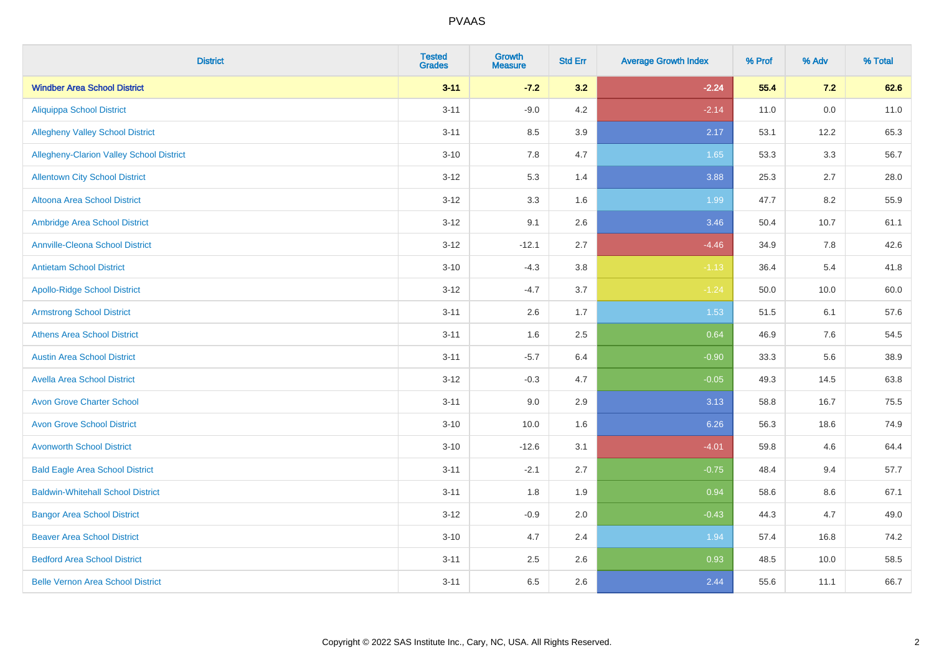| <b>District</b>                          | <b>Tested</b><br><b>Grades</b> | <b>Growth</b><br><b>Measure</b> | <b>Std Err</b> | <b>Average Growth Index</b> | % Prof | % Adv   | % Total |
|------------------------------------------|--------------------------------|---------------------------------|----------------|-----------------------------|--------|---------|---------|
| <b>Windber Area School District</b>      | $3 - 11$                       | $-7.2$                          | 3.2            | $-2.24$                     | 55.4   | 7.2     | 62.6    |
| <b>Aliquippa School District</b>         | $3 - 11$                       | $-9.0$                          | 4.2            | $-2.14$                     | 11.0   | $0.0\,$ | 11.0    |
| <b>Allegheny Valley School District</b>  | $3 - 11$                       | 8.5                             | 3.9            | 2.17                        | 53.1   | 12.2    | 65.3    |
| Allegheny-Clarion Valley School District | $3 - 10$                       | 7.8                             | 4.7            | 1.65                        | 53.3   | 3.3     | 56.7    |
| <b>Allentown City School District</b>    | $3 - 12$                       | 5.3                             | 1.4            | 3.88                        | 25.3   | 2.7     | 28.0    |
| <b>Altoona Area School District</b>      | $3 - 12$                       | 3.3                             | 1.6            | 1.99                        | 47.7   | 8.2     | 55.9    |
| Ambridge Area School District            | $3 - 12$                       | 9.1                             | 2.6            | 3.46                        | 50.4   | 10.7    | 61.1    |
| <b>Annville-Cleona School District</b>   | $3 - 12$                       | $-12.1$                         | 2.7            | $-4.46$                     | 34.9   | 7.8     | 42.6    |
| <b>Antietam School District</b>          | $3 - 10$                       | $-4.3$                          | 3.8            | $-1.13$                     | 36.4   | 5.4     | 41.8    |
| <b>Apollo-Ridge School District</b>      | $3 - 12$                       | $-4.7$                          | 3.7            | $-1.24$                     | 50.0   | 10.0    | 60.0    |
| <b>Armstrong School District</b>         | $3 - 11$                       | 2.6                             | 1.7            | 1.53                        | 51.5   | 6.1     | 57.6    |
| <b>Athens Area School District</b>       | $3 - 11$                       | 1.6                             | 2.5            | 0.64                        | 46.9   | 7.6     | 54.5    |
| <b>Austin Area School District</b>       | $3 - 11$                       | $-5.7$                          | 6.4            | $-0.90$                     | 33.3   | 5.6     | 38.9    |
| <b>Avella Area School District</b>       | $3 - 12$                       | $-0.3$                          | 4.7            | $-0.05$                     | 49.3   | 14.5    | 63.8    |
| <b>Avon Grove Charter School</b>         | $3 - 11$                       | 9.0                             | 2.9            | 3.13                        | 58.8   | 16.7    | 75.5    |
| <b>Avon Grove School District</b>        | $3 - 10$                       | 10.0                            | 1.6            | 6.26                        | 56.3   | 18.6    | 74.9    |
| <b>Avonworth School District</b>         | $3 - 10$                       | $-12.6$                         | 3.1            | $-4.01$                     | 59.8   | 4.6     | 64.4    |
| <b>Bald Eagle Area School District</b>   | $3 - 11$                       | $-2.1$                          | 2.7            | $-0.75$                     | 48.4   | 9.4     | 57.7    |
| <b>Baldwin-Whitehall School District</b> | $3 - 11$                       | 1.8                             | 1.9            | 0.94                        | 58.6   | 8.6     | 67.1    |
| <b>Bangor Area School District</b>       | $3 - 12$                       | $-0.9$                          | 2.0            | $-0.43$                     | 44.3   | 4.7     | 49.0    |
| <b>Beaver Area School District</b>       | $3 - 10$                       | 4.7                             | 2.4            | 1.94                        | 57.4   | 16.8    | 74.2    |
| <b>Bedford Area School District</b>      | $3 - 11$                       | 2.5                             | 2.6            | 0.93                        | 48.5   | 10.0    | 58.5    |
| <b>Belle Vernon Area School District</b> | $3 - 11$                       | 6.5                             | 2.6            | 2.44                        | 55.6   | 11.1    | 66.7    |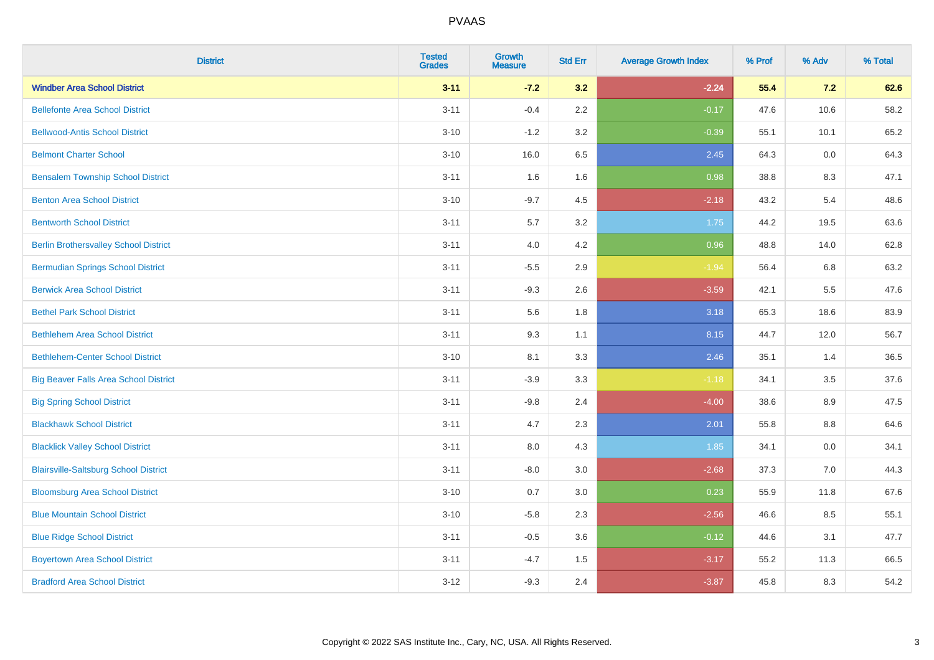| <b>District</b>                              | <b>Tested</b><br><b>Grades</b> | <b>Growth</b><br><b>Measure</b> | <b>Std Err</b> | <b>Average Growth Index</b> | % Prof | % Adv   | % Total |
|----------------------------------------------|--------------------------------|---------------------------------|----------------|-----------------------------|--------|---------|---------|
| <b>Windber Area School District</b>          | $3 - 11$                       | $-7.2$                          | 3.2            | $-2.24$                     | 55.4   | 7.2     | 62.6    |
| <b>Bellefonte Area School District</b>       | $3 - 11$                       | $-0.4$                          | 2.2            | $-0.17$                     | 47.6   | 10.6    | 58.2    |
| <b>Bellwood-Antis School District</b>        | $3 - 10$                       | $-1.2$                          | 3.2            | $-0.39$                     | 55.1   | 10.1    | 65.2    |
| <b>Belmont Charter School</b>                | $3 - 10$                       | 16.0                            | 6.5            | 2.45                        | 64.3   | 0.0     | 64.3    |
| <b>Bensalem Township School District</b>     | $3 - 11$                       | 1.6                             | 1.6            | 0.98                        | 38.8   | 8.3     | 47.1    |
| <b>Benton Area School District</b>           | $3 - 10$                       | $-9.7$                          | 4.5            | $-2.18$                     | 43.2   | 5.4     | 48.6    |
| <b>Bentworth School District</b>             | $3 - 11$                       | 5.7                             | 3.2            | 1.75                        | 44.2   | 19.5    | 63.6    |
| <b>Berlin Brothersvalley School District</b> | $3 - 11$                       | 4.0                             | 4.2            | 0.96                        | 48.8   | 14.0    | 62.8    |
| <b>Bermudian Springs School District</b>     | $3 - 11$                       | $-5.5$                          | 2.9            | $-1.94$                     | 56.4   | 6.8     | 63.2    |
| <b>Berwick Area School District</b>          | $3 - 11$                       | $-9.3$                          | 2.6            | $-3.59$                     | 42.1   | 5.5     | 47.6    |
| <b>Bethel Park School District</b>           | $3 - 11$                       | 5.6                             | 1.8            | 3.18                        | 65.3   | 18.6    | 83.9    |
| <b>Bethlehem Area School District</b>        | $3 - 11$                       | 9.3                             | 1.1            | 8.15                        | 44.7   | 12.0    | 56.7    |
| <b>Bethlehem-Center School District</b>      | $3 - 10$                       | 8.1                             | 3.3            | 2.46                        | 35.1   | 1.4     | 36.5    |
| <b>Big Beaver Falls Area School District</b> | $3 - 11$                       | $-3.9$                          | 3.3            | $-1.18$                     | 34.1   | 3.5     | 37.6    |
| <b>Big Spring School District</b>            | $3 - 11$                       | $-9.8$                          | 2.4            | $-4.00$                     | 38.6   | 8.9     | 47.5    |
| <b>Blackhawk School District</b>             | $3 - 11$                       | 4.7                             | 2.3            | 2.01                        | 55.8   | $8.8\,$ | 64.6    |
| <b>Blacklick Valley School District</b>      | $3 - 11$                       | 8.0                             | 4.3            | 1.85                        | 34.1   | 0.0     | 34.1    |
| <b>Blairsville-Saltsburg School District</b> | $3 - 11$                       | $-8.0$                          | 3.0            | $-2.68$                     | 37.3   | 7.0     | 44.3    |
| <b>Bloomsburg Area School District</b>       | $3 - 10$                       | 0.7                             | 3.0            | 0.23                        | 55.9   | 11.8    | 67.6    |
| <b>Blue Mountain School District</b>         | $3 - 10$                       | $-5.8$                          | 2.3            | $-2.56$                     | 46.6   | 8.5     | 55.1    |
| <b>Blue Ridge School District</b>            | $3 - 11$                       | $-0.5$                          | 3.6            | $-0.12$                     | 44.6   | 3.1     | 47.7    |
| <b>Boyertown Area School District</b>        | $3 - 11$                       | $-4.7$                          | 1.5            | $-3.17$                     | 55.2   | 11.3    | 66.5    |
| <b>Bradford Area School District</b>         | $3 - 12$                       | $-9.3$                          | 2.4            | $-3.87$                     | 45.8   | 8.3     | 54.2    |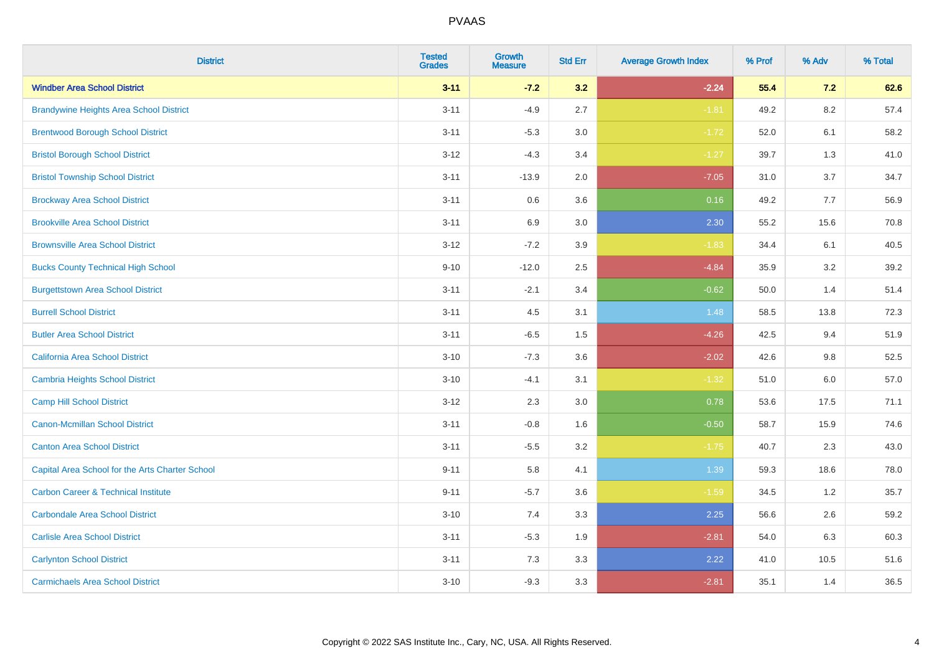| <b>District</b>                                 | <b>Tested</b><br><b>Grades</b> | <b>Growth</b><br><b>Measure</b> | <b>Std Err</b> | <b>Average Growth Index</b> | % Prof | % Adv   | % Total |
|-------------------------------------------------|--------------------------------|---------------------------------|----------------|-----------------------------|--------|---------|---------|
| <b>Windber Area School District</b>             | $3 - 11$                       | $-7.2$                          | 3.2            | $-2.24$                     | 55.4   | 7.2     | 62.6    |
| <b>Brandywine Heights Area School District</b>  | $3 - 11$                       | $-4.9$                          | 2.7            | $-1.81$                     | 49.2   | $8.2\,$ | 57.4    |
| <b>Brentwood Borough School District</b>        | $3 - 11$                       | $-5.3$                          | 3.0            | $-1.72$                     | 52.0   | 6.1     | 58.2    |
| <b>Bristol Borough School District</b>          | $3 - 12$                       | $-4.3$                          | 3.4            | $-1.27$                     | 39.7   | 1.3     | 41.0    |
| <b>Bristol Township School District</b>         | $3 - 11$                       | $-13.9$                         | 2.0            | $-7.05$                     | 31.0   | 3.7     | 34.7    |
| <b>Brockway Area School District</b>            | $3 - 11$                       | 0.6                             | 3.6            | 0.16                        | 49.2   | 7.7     | 56.9    |
| <b>Brookville Area School District</b>          | $3 - 11$                       | 6.9                             | 3.0            | 2.30                        | 55.2   | 15.6    | 70.8    |
| <b>Brownsville Area School District</b>         | $3 - 12$                       | $-7.2$                          | 3.9            | $-1.83$                     | 34.4   | 6.1     | 40.5    |
| <b>Bucks County Technical High School</b>       | $9 - 10$                       | $-12.0$                         | 2.5            | $-4.84$                     | 35.9   | 3.2     | 39.2    |
| <b>Burgettstown Area School District</b>        | $3 - 11$                       | $-2.1$                          | 3.4            | $-0.62$                     | 50.0   | 1.4     | 51.4    |
| <b>Burrell School District</b>                  | $3 - 11$                       | 4.5                             | 3.1            | 1.48                        | 58.5   | 13.8    | 72.3    |
| <b>Butler Area School District</b>              | $3 - 11$                       | $-6.5$                          | 1.5            | $-4.26$                     | 42.5   | 9.4     | 51.9    |
| <b>California Area School District</b>          | $3 - 10$                       | $-7.3$                          | 3.6            | $-2.02$                     | 42.6   | $9.8\,$ | 52.5    |
| <b>Cambria Heights School District</b>          | $3 - 10$                       | $-4.1$                          | 3.1            | $-1.32$                     | 51.0   | 6.0     | 57.0    |
| <b>Camp Hill School District</b>                | $3 - 12$                       | 2.3                             | 3.0            | 0.78                        | 53.6   | 17.5    | 71.1    |
| <b>Canon-Mcmillan School District</b>           | $3 - 11$                       | $-0.8$                          | 1.6            | $-0.50$                     | 58.7   | 15.9    | 74.6    |
| <b>Canton Area School District</b>              | $3 - 11$                       | $-5.5$                          | 3.2            | $-1.75$                     | 40.7   | 2.3     | 43.0    |
| Capital Area School for the Arts Charter School | $9 - 11$                       | 5.8                             | 4.1            | 1.39                        | 59.3   | 18.6    | 78.0    |
| <b>Carbon Career &amp; Technical Institute</b>  | $9 - 11$                       | $-5.7$                          | 3.6            | $-1.59$                     | 34.5   | 1.2     | 35.7    |
| <b>Carbondale Area School District</b>          | $3 - 10$                       | 7.4                             | 3.3            | 2.25                        | 56.6   | 2.6     | 59.2    |
| <b>Carlisle Area School District</b>            | $3 - 11$                       | $-5.3$                          | 1.9            | $-2.81$                     | 54.0   | 6.3     | 60.3    |
| <b>Carlynton School District</b>                | $3 - 11$                       | 7.3                             | 3.3            | 2.22                        | 41.0   | 10.5    | 51.6    |
| <b>Carmichaels Area School District</b>         | $3 - 10$                       | $-9.3$                          | 3.3            | $-2.81$                     | 35.1   | 1.4     | 36.5    |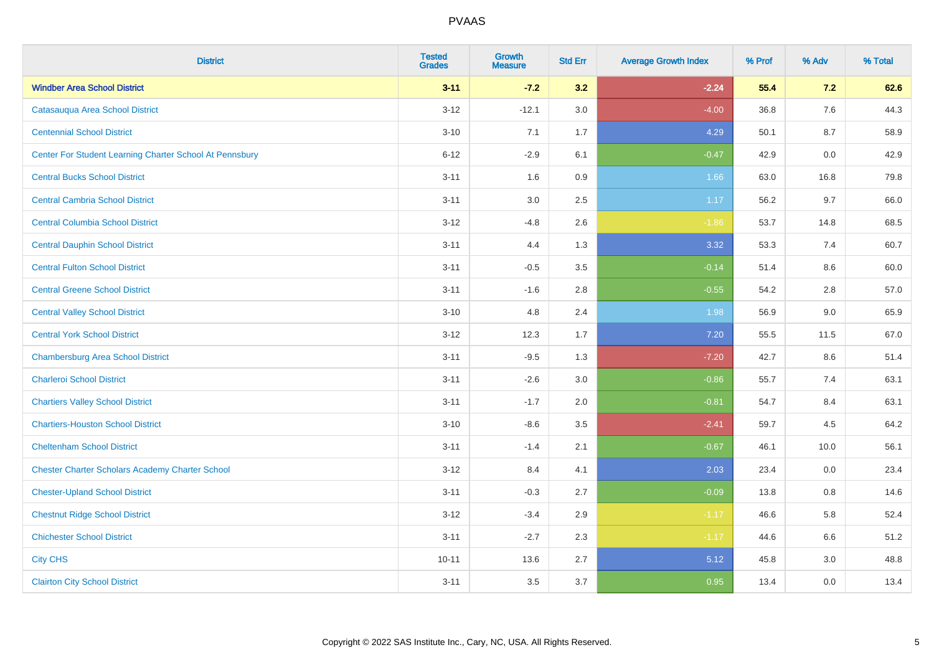| <b>District</b>                                         | <b>Tested</b><br><b>Grades</b> | <b>Growth</b><br><b>Measure</b> | <b>Std Err</b> | <b>Average Growth Index</b> | % Prof | % Adv | % Total |
|---------------------------------------------------------|--------------------------------|---------------------------------|----------------|-----------------------------|--------|-------|---------|
| <b>Windber Area School District</b>                     | $3 - 11$                       | $-7.2$                          | 3.2            | $-2.24$                     | 55.4   | 7.2   | 62.6    |
| Catasauqua Area School District                         | $3 - 12$                       | $-12.1$                         | 3.0            | $-4.00$                     | 36.8   | 7.6   | 44.3    |
| <b>Centennial School District</b>                       | $3 - 10$                       | 7.1                             | 1.7            | 4.29                        | 50.1   | 8.7   | 58.9    |
| Center For Student Learning Charter School At Pennsbury | $6 - 12$                       | $-2.9$                          | 6.1            | $-0.47$                     | 42.9   | 0.0   | 42.9    |
| <b>Central Bucks School District</b>                    | $3 - 11$                       | 1.6                             | 0.9            | 1.66                        | 63.0   | 16.8  | 79.8    |
| <b>Central Cambria School District</b>                  | $3 - 11$                       | 3.0                             | 2.5            | 1.17                        | 56.2   | 9.7   | 66.0    |
| <b>Central Columbia School District</b>                 | $3 - 12$                       | $-4.8$                          | 2.6            | $-1.86$                     | 53.7   | 14.8  | 68.5    |
| <b>Central Dauphin School District</b>                  | $3 - 11$                       | 4.4                             | 1.3            | 3.32                        | 53.3   | 7.4   | 60.7    |
| <b>Central Fulton School District</b>                   | $3 - 11$                       | $-0.5$                          | 3.5            | $-0.14$                     | 51.4   | 8.6   | 60.0    |
| <b>Central Greene School District</b>                   | $3 - 11$                       | $-1.6$                          | 2.8            | $-0.55$                     | 54.2   | 2.8   | 57.0    |
| <b>Central Valley School District</b>                   | $3 - 10$                       | 4.8                             | 2.4            | 1.98                        | 56.9   | 9.0   | 65.9    |
| <b>Central York School District</b>                     | $3 - 12$                       | 12.3                            | 1.7            | 7.20                        | 55.5   | 11.5  | 67.0    |
| <b>Chambersburg Area School District</b>                | $3 - 11$                       | $-9.5$                          | 1.3            | $-7.20$                     | 42.7   | 8.6   | 51.4    |
| <b>Charleroi School District</b>                        | $3 - 11$                       | $-2.6$                          | 3.0            | $-0.86$                     | 55.7   | 7.4   | 63.1    |
| <b>Chartiers Valley School District</b>                 | $3 - 11$                       | $-1.7$                          | 2.0            | $-0.81$                     | 54.7   | 8.4   | 63.1    |
| <b>Chartiers-Houston School District</b>                | $3 - 10$                       | $-8.6$                          | 3.5            | $-2.41$                     | 59.7   | 4.5   | 64.2    |
| <b>Cheltenham School District</b>                       | $3 - 11$                       | $-1.4$                          | 2.1            | $-0.67$                     | 46.1   | 10.0  | 56.1    |
| <b>Chester Charter Scholars Academy Charter School</b>  | $3 - 12$                       | 8.4                             | 4.1            | 2.03                        | 23.4   | 0.0   | 23.4    |
| <b>Chester-Upland School District</b>                   | $3 - 11$                       | $-0.3$                          | 2.7            | $-0.09$                     | 13.8   | 0.8   | 14.6    |
| <b>Chestnut Ridge School District</b>                   | $3 - 12$                       | $-3.4$                          | 2.9            | $-1.17$                     | 46.6   | 5.8   | 52.4    |
| <b>Chichester School District</b>                       | $3 - 11$                       | $-2.7$                          | 2.3            | $-1.17$                     | 44.6   | 6.6   | 51.2    |
| <b>City CHS</b>                                         | $10 - 11$                      | 13.6                            | 2.7            | 5.12                        | 45.8   | 3.0   | 48.8    |
| <b>Clairton City School District</b>                    | $3 - 11$                       | 3.5                             | 3.7            | 0.95                        | 13.4   | 0.0   | 13.4    |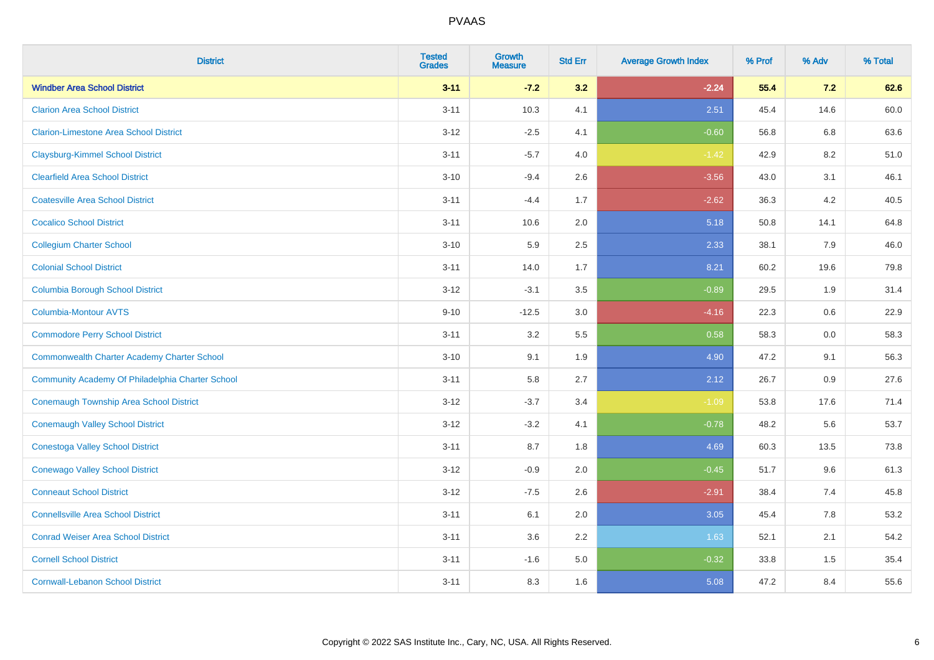| <b>District</b>                                    | <b>Tested</b><br><b>Grades</b> | <b>Growth</b><br><b>Measure</b> | <b>Std Err</b> | <b>Average Growth Index</b> | % Prof | % Adv   | % Total |
|----------------------------------------------------|--------------------------------|---------------------------------|----------------|-----------------------------|--------|---------|---------|
| <b>Windber Area School District</b>                | $3 - 11$                       | $-7.2$                          | 3.2            | $-2.24$                     | 55.4   | 7.2     | 62.6    |
| <b>Clarion Area School District</b>                | $3 - 11$                       | 10.3                            | 4.1            | 2.51                        | 45.4   | 14.6    | 60.0    |
| <b>Clarion-Limestone Area School District</b>      | $3-12$                         | $-2.5$                          | 4.1            | $-0.60$                     | 56.8   | $6.8\,$ | 63.6    |
| <b>Claysburg-Kimmel School District</b>            | $3 - 11$                       | $-5.7$                          | 4.0            | $-1.42$                     | 42.9   | $8.2\,$ | 51.0    |
| <b>Clearfield Area School District</b>             | $3 - 10$                       | $-9.4$                          | 2.6            | $-3.56$                     | 43.0   | 3.1     | 46.1    |
| <b>Coatesville Area School District</b>            | $3 - 11$                       | $-4.4$                          | 1.7            | $-2.62$                     | 36.3   | 4.2     | 40.5    |
| <b>Cocalico School District</b>                    | $3 - 11$                       | 10.6                            | 2.0            | 5.18                        | 50.8   | 14.1    | 64.8    |
| <b>Collegium Charter School</b>                    | $3 - 10$                       | 5.9                             | 2.5            | 2.33                        | 38.1   | 7.9     | 46.0    |
| <b>Colonial School District</b>                    | $3 - 11$                       | 14.0                            | 1.7            | 8.21                        | 60.2   | 19.6    | 79.8    |
| <b>Columbia Borough School District</b>            | $3 - 12$                       | $-3.1$                          | 3.5            | $-0.89$                     | 29.5   | 1.9     | 31.4    |
| <b>Columbia-Montour AVTS</b>                       | $9 - 10$                       | $-12.5$                         | 3.0            | $-4.16$                     | 22.3   | 0.6     | 22.9    |
| <b>Commodore Perry School District</b>             | $3 - 11$                       | 3.2                             | 5.5            | 0.58                        | 58.3   | 0.0     | 58.3    |
| <b>Commonwealth Charter Academy Charter School</b> | $3 - 10$                       | 9.1                             | 1.9            | 4.90                        | 47.2   | 9.1     | 56.3    |
| Community Academy Of Philadelphia Charter School   | $3 - 11$                       | 5.8                             | 2.7            | 2.12                        | 26.7   | 0.9     | 27.6    |
| <b>Conemaugh Township Area School District</b>     | $3-12$                         | $-3.7$                          | 3.4            | $-1.09$                     | 53.8   | 17.6    | 71.4    |
| <b>Conemaugh Valley School District</b>            | $3 - 12$                       | $-3.2$                          | 4.1            | $-0.78$                     | 48.2   | 5.6     | 53.7    |
| <b>Conestoga Valley School District</b>            | $3 - 11$                       | 8.7                             | 1.8            | 4.69                        | 60.3   | 13.5    | 73.8    |
| <b>Conewago Valley School District</b>             | $3-12$                         | $-0.9$                          | 2.0            | $-0.45$                     | 51.7   | 9.6     | 61.3    |
| <b>Conneaut School District</b>                    | $3 - 12$                       | $-7.5$                          | 2.6            | $-2.91$                     | 38.4   | 7.4     | 45.8    |
| <b>Connellsville Area School District</b>          | $3 - 11$                       | 6.1                             | 2.0            | 3.05                        | 45.4   | 7.8     | 53.2    |
| <b>Conrad Weiser Area School District</b>          | $3 - 11$                       | 3.6                             | 2.2            | 1.63                        | 52.1   | 2.1     | 54.2    |
| <b>Cornell School District</b>                     | $3 - 11$                       | $-1.6$                          | 5.0            | $-0.32$                     | 33.8   | 1.5     | 35.4    |
| <b>Cornwall-Lebanon School District</b>            | $3 - 11$                       | 8.3                             | 1.6            | 5.08                        | 47.2   | 8.4     | 55.6    |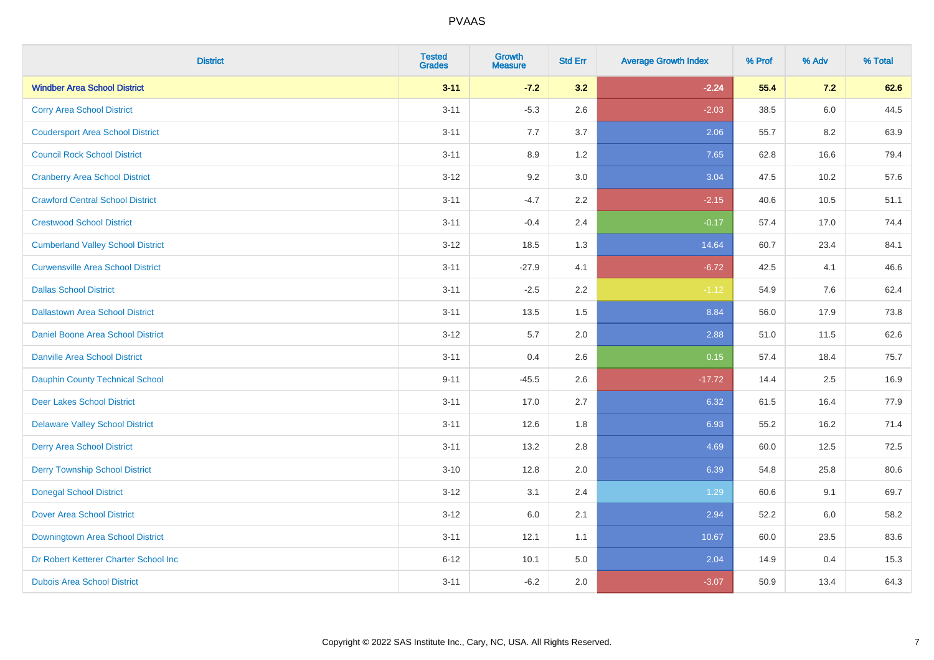| <b>District</b>                          | <b>Tested</b><br><b>Grades</b> | <b>Growth</b><br><b>Measure</b> | <b>Std Err</b> | <b>Average Growth Index</b> | % Prof | % Adv | % Total |
|------------------------------------------|--------------------------------|---------------------------------|----------------|-----------------------------|--------|-------|---------|
| <b>Windber Area School District</b>      | $3 - 11$                       | $-7.2$                          | 3.2            | $-2.24$                     | 55.4   | 7.2   | 62.6    |
| <b>Corry Area School District</b>        | $3 - 11$                       | $-5.3$                          | 2.6            | $-2.03$                     | 38.5   | 6.0   | 44.5    |
| <b>Coudersport Area School District</b>  | $3 - 11$                       | 7.7                             | 3.7            | 2.06                        | 55.7   | 8.2   | 63.9    |
| <b>Council Rock School District</b>      | $3 - 11$                       | 8.9                             | 1.2            | 7.65                        | 62.8   | 16.6  | 79.4    |
| <b>Cranberry Area School District</b>    | $3 - 12$                       | 9.2                             | 3.0            | 3.04                        | 47.5   | 10.2  | 57.6    |
| <b>Crawford Central School District</b>  | $3 - 11$                       | $-4.7$                          | 2.2            | $-2.15$                     | 40.6   | 10.5  | 51.1    |
| <b>Crestwood School District</b>         | $3 - 11$                       | $-0.4$                          | 2.4            | $-0.17$                     | 57.4   | 17.0  | 74.4    |
| <b>Cumberland Valley School District</b> | $3 - 12$                       | 18.5                            | 1.3            | 14.64                       | 60.7   | 23.4  | 84.1    |
| <b>Curwensville Area School District</b> | $3 - 11$                       | $-27.9$                         | 4.1            | $-6.72$                     | 42.5   | 4.1   | 46.6    |
| <b>Dallas School District</b>            | $3 - 11$                       | $-2.5$                          | $2.2\,$        | $-1.12$                     | 54.9   | 7.6   | 62.4    |
| <b>Dallastown Area School District</b>   | $3 - 11$                       | 13.5                            | 1.5            | 8.84                        | 56.0   | 17.9  | 73.8    |
| <b>Daniel Boone Area School District</b> | $3 - 12$                       | 5.7                             | 2.0            | 2.88                        | 51.0   | 11.5  | 62.6    |
| <b>Danville Area School District</b>     | $3 - 11$                       | 0.4                             | 2.6            | 0.15                        | 57.4   | 18.4  | 75.7    |
| Dauphin County Technical School          | $9 - 11$                       | $-45.5$                         | 2.6            | $-17.72$                    | 14.4   | 2.5   | 16.9    |
| <b>Deer Lakes School District</b>        | $3 - 11$                       | 17.0                            | 2.7            | 6.32                        | 61.5   | 16.4  | 77.9    |
| <b>Delaware Valley School District</b>   | $3 - 11$                       | 12.6                            | 1.8            | 6.93                        | 55.2   | 16.2  | 71.4    |
| <b>Derry Area School District</b>        | $3 - 11$                       | 13.2                            | 2.8            | 4.69                        | 60.0   | 12.5  | 72.5    |
| <b>Derry Township School District</b>    | $3 - 10$                       | 12.8                            | 2.0            | 6.39                        | 54.8   | 25.8  | 80.6    |
| <b>Donegal School District</b>           | $3 - 12$                       | 3.1                             | 2.4            | 1.29                        | 60.6   | 9.1   | 69.7    |
| <b>Dover Area School District</b>        | $3-12$                         | 6.0                             | 2.1            | 2.94                        | 52.2   | 6.0   | 58.2    |
| Downingtown Area School District         | $3 - 11$                       | 12.1                            | 1.1            | 10.67                       | 60.0   | 23.5  | 83.6    |
| Dr Robert Ketterer Charter School Inc    | $6 - 12$                       | 10.1                            | 5.0            | 2.04                        | 14.9   | 0.4   | 15.3    |
| <b>Dubois Area School District</b>       | $3 - 11$                       | $-6.2$                          | 2.0            | $-3.07$                     | 50.9   | 13.4  | 64.3    |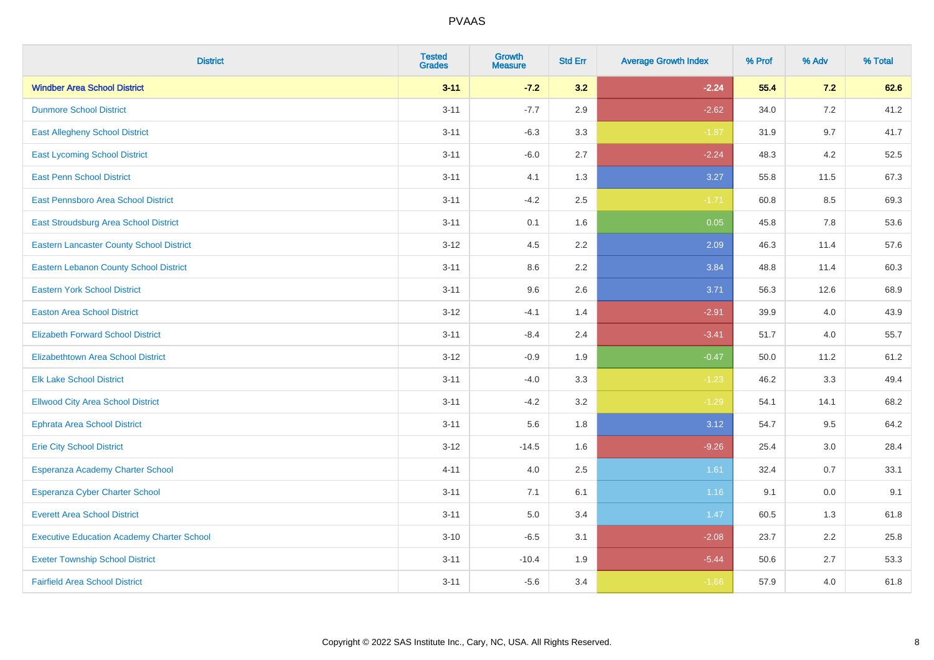| <b>District</b>                                   | <b>Tested</b><br><b>Grades</b> | <b>Growth</b><br><b>Measure</b> | <b>Std Err</b> | <b>Average Growth Index</b> | % Prof | % Adv | % Total |
|---------------------------------------------------|--------------------------------|---------------------------------|----------------|-----------------------------|--------|-------|---------|
| <b>Windber Area School District</b>               | $3 - 11$                       | $-7.2$                          | 3.2            | $-2.24$                     | 55.4   | 7.2   | 62.6    |
| <b>Dunmore School District</b>                    | $3 - 11$                       | $-7.7$                          | 2.9            | $-2.62$                     | 34.0   | 7.2   | 41.2    |
| <b>East Allegheny School District</b>             | $3 - 11$                       | $-6.3$                          | 3.3            | $-1.87$                     | 31.9   | 9.7   | 41.7    |
| <b>East Lycoming School District</b>              | $3 - 11$                       | $-6.0$                          | 2.7            | $-2.24$                     | 48.3   | 4.2   | 52.5    |
| <b>East Penn School District</b>                  | $3 - 11$                       | 4.1                             | 1.3            | 3.27                        | 55.8   | 11.5  | 67.3    |
| East Pennsboro Area School District               | $3 - 11$                       | $-4.2$                          | 2.5            | $-1.71$                     | 60.8   | 8.5   | 69.3    |
| East Stroudsburg Area School District             | $3 - 11$                       | 0.1                             | 1.6            | 0.05                        | 45.8   | 7.8   | 53.6    |
| <b>Eastern Lancaster County School District</b>   | $3 - 12$                       | 4.5                             | 2.2            | 2.09                        | 46.3   | 11.4  | 57.6    |
| <b>Eastern Lebanon County School District</b>     | $3 - 11$                       | 8.6                             | 2.2            | 3.84                        | 48.8   | 11.4  | 60.3    |
| <b>Eastern York School District</b>               | $3 - 11$                       | 9.6                             | 2.6            | 3.71                        | 56.3   | 12.6  | 68.9    |
| <b>Easton Area School District</b>                | $3 - 12$                       | $-4.1$                          | 1.4            | $-2.91$                     | 39.9   | 4.0   | 43.9    |
| <b>Elizabeth Forward School District</b>          | $3 - 11$                       | $-8.4$                          | 2.4            | $-3.41$                     | 51.7   | 4.0   | 55.7    |
| <b>Elizabethtown Area School District</b>         | $3-12$                         | $-0.9$                          | 1.9            | $-0.47$                     | 50.0   | 11.2  | 61.2    |
| <b>Elk Lake School District</b>                   | $3 - 11$                       | $-4.0$                          | 3.3            | $-1.23$                     | 46.2   | 3.3   | 49.4    |
| <b>Ellwood City Area School District</b>          | $3 - 11$                       | $-4.2$                          | 3.2            | $-1.29$                     | 54.1   | 14.1  | 68.2    |
| <b>Ephrata Area School District</b>               | $3 - 11$                       | 5.6                             | 1.8            | 3.12                        | 54.7   | 9.5   | 64.2    |
| <b>Erie City School District</b>                  | $3 - 12$                       | $-14.5$                         | 1.6            | $-9.26$                     | 25.4   | 3.0   | 28.4    |
| Esperanza Academy Charter School                  | $4 - 11$                       | 4.0                             | 2.5            | 1.61                        | 32.4   | 0.7   | 33.1    |
| <b>Esperanza Cyber Charter School</b>             | $3 - 11$                       | 7.1                             | 6.1            | 1.16                        | 9.1    | 0.0   | 9.1     |
| <b>Everett Area School District</b>               | $3 - 11$                       | 5.0                             | 3.4            | $1.47$                      | 60.5   | 1.3   | 61.8    |
| <b>Executive Education Academy Charter School</b> | $3 - 10$                       | $-6.5$                          | 3.1            | $-2.08$                     | 23.7   | 2.2   | 25.8    |
| <b>Exeter Township School District</b>            | $3 - 11$                       | $-10.4$                         | 1.9            | $-5.44$                     | 50.6   | 2.7   | 53.3    |
| <b>Fairfield Area School District</b>             | $3 - 11$                       | $-5.6$                          | 3.4            | $-1.66$                     | 57.9   | 4.0   | 61.8    |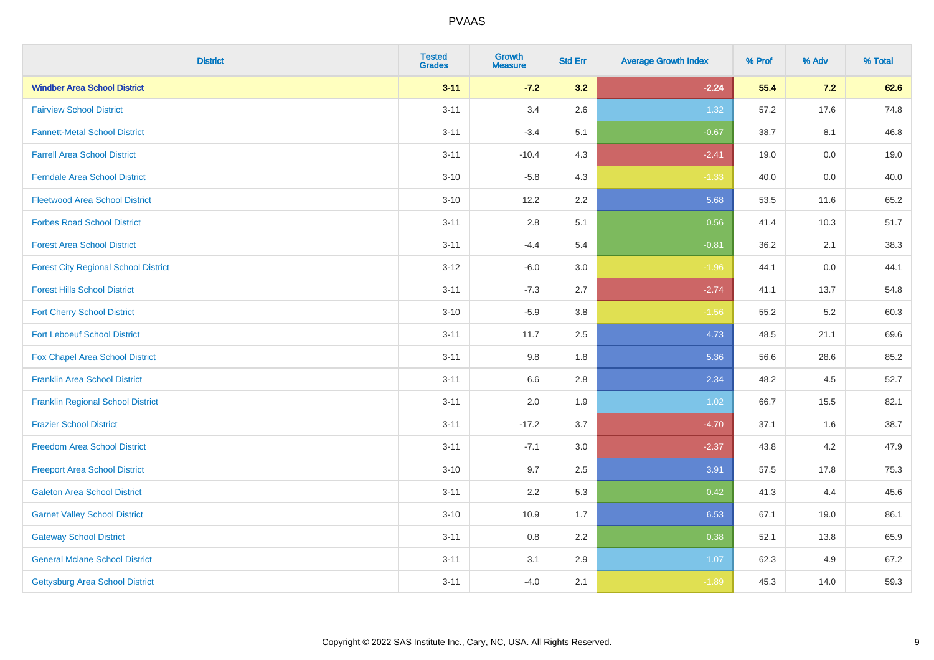| <b>District</b>                             | <b>Tested</b><br><b>Grades</b> | <b>Growth</b><br><b>Measure</b> | <b>Std Err</b> | <b>Average Growth Index</b> | % Prof | % Adv | % Total |
|---------------------------------------------|--------------------------------|---------------------------------|----------------|-----------------------------|--------|-------|---------|
| <b>Windber Area School District</b>         | $3 - 11$                       | $-7.2$                          | 3.2            | $-2.24$                     | 55.4   | 7.2   | 62.6    |
| <b>Fairview School District</b>             | $3 - 11$                       | 3.4                             | 2.6            | 1.32                        | 57.2   | 17.6  | 74.8    |
| <b>Fannett-Metal School District</b>        | $3 - 11$                       | $-3.4$                          | 5.1            | $-0.67$                     | 38.7   | 8.1   | 46.8    |
| <b>Farrell Area School District</b>         | $3 - 11$                       | $-10.4$                         | 4.3            | $-2.41$                     | 19.0   | 0.0   | 19.0    |
| <b>Ferndale Area School District</b>        | $3 - 10$                       | $-5.8$                          | 4.3            | $-1.33$                     | 40.0   | 0.0   | 40.0    |
| <b>Fleetwood Area School District</b>       | $3 - 10$                       | 12.2                            | 2.2            | 5.68                        | 53.5   | 11.6  | 65.2    |
| <b>Forbes Road School District</b>          | $3 - 11$                       | $2.8\,$                         | 5.1            | 0.56                        | 41.4   | 10.3  | 51.7    |
| <b>Forest Area School District</b>          | $3 - 11$                       | $-4.4$                          | 5.4            | $-0.81$                     | 36.2   | 2.1   | 38.3    |
| <b>Forest City Regional School District</b> | $3 - 12$                       | $-6.0$                          | 3.0            | $-1.96$                     | 44.1   | 0.0   | 44.1    |
| <b>Forest Hills School District</b>         | $3 - 11$                       | $-7.3$                          | 2.7            | $-2.74$                     | 41.1   | 13.7  | 54.8    |
| <b>Fort Cherry School District</b>          | $3 - 10$                       | $-5.9$                          | 3.8            | $-1.56$                     | 55.2   | 5.2   | 60.3    |
| <b>Fort Leboeuf School District</b>         | $3 - 11$                       | 11.7                            | 2.5            | 4.73                        | 48.5   | 21.1  | 69.6    |
| Fox Chapel Area School District             | $3 - 11$                       | 9.8                             | 1.8            | 5.36                        | 56.6   | 28.6  | 85.2    |
| <b>Franklin Area School District</b>        | $3 - 11$                       | 6.6                             | 2.8            | 2.34                        | 48.2   | 4.5   | 52.7    |
| <b>Franklin Regional School District</b>    | $3 - 11$                       | 2.0                             | 1.9            | 1.02                        | 66.7   | 15.5  | 82.1    |
| <b>Frazier School District</b>              | $3 - 11$                       | $-17.2$                         | 3.7            | $-4.70$                     | 37.1   | 1.6   | 38.7    |
| <b>Freedom Area School District</b>         | $3 - 11$                       | $-7.1$                          | 3.0            | $-2.37$                     | 43.8   | 4.2   | 47.9    |
| <b>Freeport Area School District</b>        | $3 - 10$                       | 9.7                             | 2.5            | 3.91                        | 57.5   | 17.8  | 75.3    |
| <b>Galeton Area School District</b>         | $3 - 11$                       | 2.2                             | 5.3            | 0.42                        | 41.3   | 4.4   | 45.6    |
| <b>Garnet Valley School District</b>        | $3 - 10$                       | 10.9                            | 1.7            | 6.53                        | 67.1   | 19.0  | 86.1    |
| <b>Gateway School District</b>              | $3 - 11$                       | 0.8                             | 2.2            | 0.38                        | 52.1   | 13.8  | 65.9    |
| <b>General Mclane School District</b>       | $3 - 11$                       | 3.1                             | 2.9            | 1.07                        | 62.3   | 4.9   | 67.2    |
| Gettysburg Area School District             | $3 - 11$                       | $-4.0$                          | 2.1            | $-1.89$                     | 45.3   | 14.0  | 59.3    |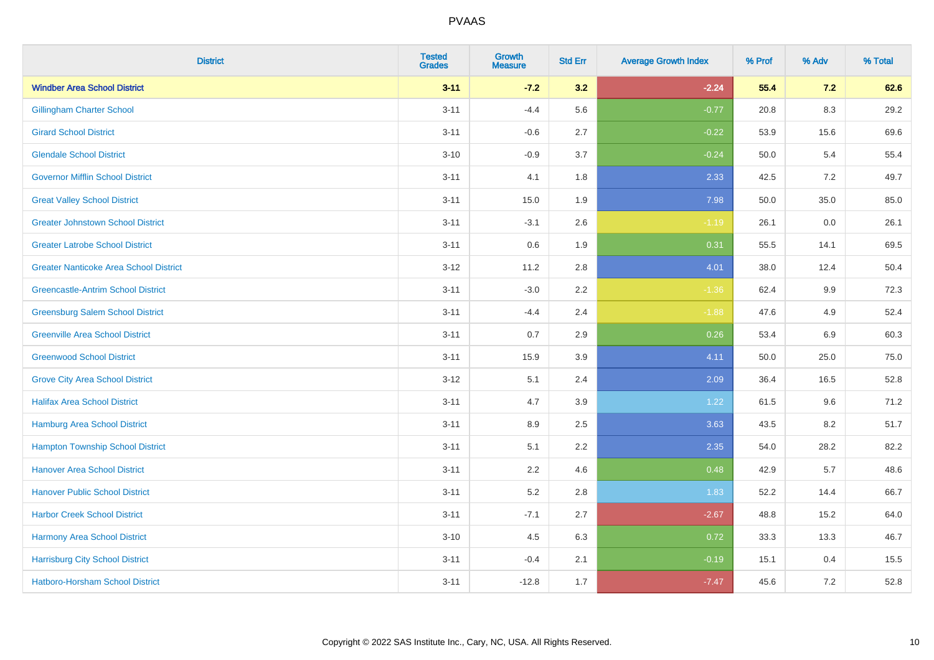| <b>District</b>                               | <b>Tested</b><br><b>Grades</b> | <b>Growth</b><br><b>Measure</b> | <b>Std Err</b> | <b>Average Growth Index</b> | % Prof | % Adv   | % Total |
|-----------------------------------------------|--------------------------------|---------------------------------|----------------|-----------------------------|--------|---------|---------|
| <b>Windber Area School District</b>           | $3 - 11$                       | $-7.2$                          | 3.2            | $-2.24$                     | 55.4   | 7.2     | 62.6    |
| <b>Gillingham Charter School</b>              | $3 - 11$                       | $-4.4$                          | 5.6            | $-0.77$                     | 20.8   | $8.3\,$ | 29.2    |
| <b>Girard School District</b>                 | $3 - 11$                       | $-0.6$                          | 2.7            | $-0.22$                     | 53.9   | 15.6    | 69.6    |
| <b>Glendale School District</b>               | $3 - 10$                       | $-0.9$                          | 3.7            | $-0.24$                     | 50.0   | 5.4     | 55.4    |
| <b>Governor Mifflin School District</b>       | $3 - 11$                       | 4.1                             | 1.8            | 2.33                        | 42.5   | 7.2     | 49.7    |
| <b>Great Valley School District</b>           | $3 - 11$                       | 15.0                            | 1.9            | 7.98                        | 50.0   | 35.0    | 85.0    |
| <b>Greater Johnstown School District</b>      | $3 - 11$                       | $-3.1$                          | 2.6            | $-1.19$                     | 26.1   | 0.0     | 26.1    |
| <b>Greater Latrobe School District</b>        | $3 - 11$                       | 0.6                             | 1.9            | 0.31                        | 55.5   | 14.1    | 69.5    |
| <b>Greater Nanticoke Area School District</b> | $3 - 12$                       | 11.2                            | 2.8            | 4.01                        | 38.0   | 12.4    | 50.4    |
| <b>Greencastle-Antrim School District</b>     | $3 - 11$                       | $-3.0$                          | 2.2            | $-1.36$                     | 62.4   | 9.9     | 72.3    |
| <b>Greensburg Salem School District</b>       | $3 - 11$                       | $-4.4$                          | 2.4            | $-1.88$                     | 47.6   | 4.9     | 52.4    |
| <b>Greenville Area School District</b>        | $3 - 11$                       | 0.7                             | 2.9            | 0.26                        | 53.4   | 6.9     | 60.3    |
| <b>Greenwood School District</b>              | $3 - 11$                       | 15.9                            | 3.9            | 4.11                        | 50.0   | 25.0    | 75.0    |
| <b>Grove City Area School District</b>        | $3 - 12$                       | 5.1                             | 2.4            | 2.09                        | 36.4   | 16.5    | 52.8    |
| <b>Halifax Area School District</b>           | $3 - 11$                       | 4.7                             | 3.9            | 1.22                        | 61.5   | 9.6     | 71.2    |
| <b>Hamburg Area School District</b>           | $3 - 11$                       | 8.9                             | 2.5            | 3.63                        | 43.5   | 8.2     | 51.7    |
| <b>Hampton Township School District</b>       | $3 - 11$                       | 5.1                             | 2.2            | 2.35                        | 54.0   | 28.2    | 82.2    |
| <b>Hanover Area School District</b>           | $3 - 11$                       | 2.2                             | 4.6            | 0.48                        | 42.9   | 5.7     | 48.6    |
| <b>Hanover Public School District</b>         | $3 - 11$                       | 5.2                             | $2.8\,$        | 1.83                        | 52.2   | 14.4    | 66.7    |
| <b>Harbor Creek School District</b>           | $3 - 11$                       | $-7.1$                          | 2.7            | $-2.67$                     | 48.8   | 15.2    | 64.0    |
| Harmony Area School District                  | $3 - 10$                       | 4.5                             | 6.3            | 0.72                        | 33.3   | 13.3    | 46.7    |
| <b>Harrisburg City School District</b>        | $3 - 11$                       | $-0.4$                          | 2.1            | $-0.19$                     | 15.1   | 0.4     | 15.5    |
| Hatboro-Horsham School District               | $3 - 11$                       | $-12.8$                         | 1.7            | $-7.47$                     | 45.6   | 7.2     | 52.8    |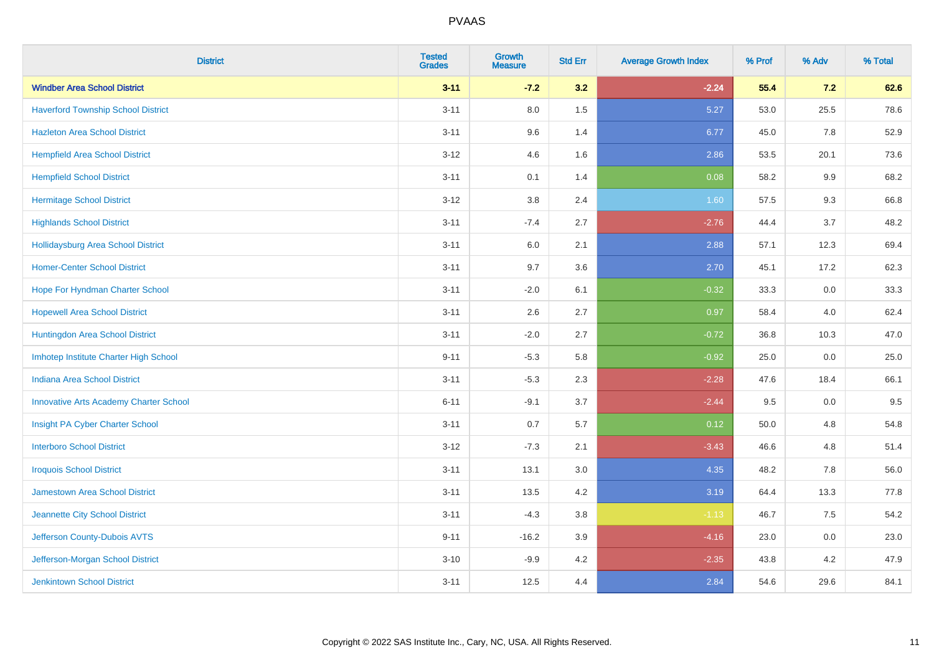| <b>District</b>                               | <b>Tested</b><br><b>Grades</b> | <b>Growth</b><br><b>Measure</b> | <b>Std Err</b> | <b>Average Growth Index</b> | % Prof | % Adv   | % Total |
|-----------------------------------------------|--------------------------------|---------------------------------|----------------|-----------------------------|--------|---------|---------|
| <b>Windber Area School District</b>           | $3 - 11$                       | $-7.2$                          | 3.2            | $-2.24$                     | 55.4   | 7.2     | 62.6    |
| <b>Haverford Township School District</b>     | $3 - 11$                       | 8.0                             | 1.5            | 5.27                        | 53.0   | 25.5    | 78.6    |
| <b>Hazleton Area School District</b>          | $3 - 11$                       | 9.6                             | 1.4            | 6.77                        | 45.0   | 7.8     | 52.9    |
| <b>Hempfield Area School District</b>         | $3 - 12$                       | 4.6                             | 1.6            | 2.86                        | 53.5   | 20.1    | 73.6    |
| <b>Hempfield School District</b>              | $3 - 11$                       | 0.1                             | 1.4            | 0.08                        | 58.2   | 9.9     | 68.2    |
| <b>Hermitage School District</b>              | $3 - 12$                       | 3.8                             | 2.4            | 1.60                        | 57.5   | 9.3     | 66.8    |
| <b>Highlands School District</b>              | $3 - 11$                       | $-7.4$                          | 2.7            | $-2.76$                     | 44.4   | 3.7     | 48.2    |
| Hollidaysburg Area School District            | $3 - 11$                       | 6.0                             | 2.1            | 2.88                        | 57.1   | 12.3    | 69.4    |
| <b>Homer-Center School District</b>           | $3 - 11$                       | 9.7                             | 3.6            | 2.70                        | 45.1   | 17.2    | 62.3    |
| Hope For Hyndman Charter School               | $3 - 11$                       | $-2.0$                          | 6.1            | $-0.32$                     | 33.3   | 0.0     | 33.3    |
| <b>Hopewell Area School District</b>          | $3 - 11$                       | 2.6                             | 2.7            | 0.97                        | 58.4   | 4.0     | 62.4    |
| Huntingdon Area School District               | $3 - 11$                       | $-2.0$                          | 2.7            | $-0.72$                     | 36.8   | 10.3    | 47.0    |
| Imhotep Institute Charter High School         | $9 - 11$                       | $-5.3$                          | 5.8            | $-0.92$                     | 25.0   | $0.0\,$ | 25.0    |
| Indiana Area School District                  | $3 - 11$                       | $-5.3$                          | 2.3            | $-2.28$                     | 47.6   | 18.4    | 66.1    |
| <b>Innovative Arts Academy Charter School</b> | $6 - 11$                       | $-9.1$                          | 3.7            | $-2.44$                     | 9.5    | $0.0\,$ | 9.5     |
| Insight PA Cyber Charter School               | $3 - 11$                       | 0.7                             | 5.7            | 0.12                        | 50.0   | 4.8     | 54.8    |
| <b>Interboro School District</b>              | $3 - 12$                       | $-7.3$                          | 2.1            | $-3.43$                     | 46.6   | 4.8     | 51.4    |
| <b>Iroquois School District</b>               | $3 - 11$                       | 13.1                            | 3.0            | 4.35                        | 48.2   | 7.8     | 56.0    |
| <b>Jamestown Area School District</b>         | $3 - 11$                       | 13.5                            | 4.2            | 3.19                        | 64.4   | 13.3    | 77.8    |
| Jeannette City School District                | $3 - 11$                       | $-4.3$                          | $3.8\,$        | $-1.13$                     | 46.7   | 7.5     | 54.2    |
| Jefferson County-Dubois AVTS                  | $9 - 11$                       | $-16.2$                         | 3.9            | $-4.16$                     | 23.0   | 0.0     | 23.0    |
| Jefferson-Morgan School District              | $3 - 10$                       | $-9.9$                          | 4.2            | $-2.35$                     | 43.8   | 4.2     | 47.9    |
| <b>Jenkintown School District</b>             | $3 - 11$                       | 12.5                            | 4.4            | 2.84                        | 54.6   | 29.6    | 84.1    |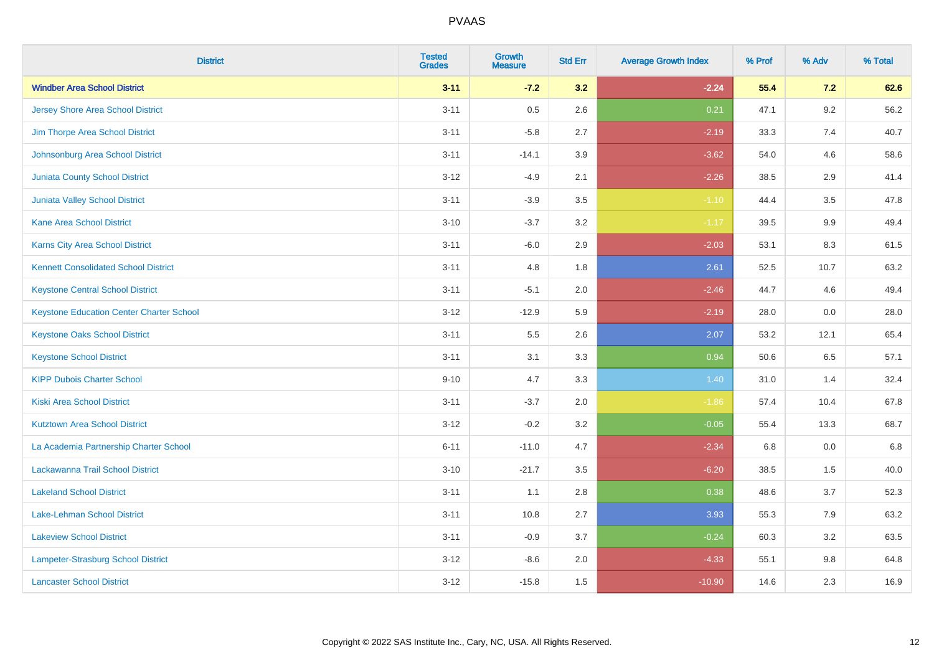| <b>District</b>                                 | <b>Tested</b><br><b>Grades</b> | <b>Growth</b><br><b>Measure</b> | <b>Std Err</b> | <b>Average Growth Index</b> | % Prof | % Adv   | % Total |
|-------------------------------------------------|--------------------------------|---------------------------------|----------------|-----------------------------|--------|---------|---------|
| <b>Windber Area School District</b>             | $3 - 11$                       | $-7.2$                          | 3.2            | $-2.24$                     | 55.4   | 7.2     | 62.6    |
| <b>Jersey Shore Area School District</b>        | $3 - 11$                       | 0.5                             | 2.6            | 0.21                        | 47.1   | $9.2\,$ | 56.2    |
| Jim Thorpe Area School District                 | $3 - 11$                       | $-5.8$                          | 2.7            | $-2.19$                     | 33.3   | 7.4     | 40.7    |
| Johnsonburg Area School District                | $3 - 11$                       | $-14.1$                         | 3.9            | $-3.62$                     | 54.0   | 4.6     | 58.6    |
| <b>Juniata County School District</b>           | $3 - 12$                       | $-4.9$                          | 2.1            | $-2.26$                     | 38.5   | 2.9     | 41.4    |
| <b>Juniata Valley School District</b>           | $3 - 11$                       | $-3.9$                          | 3.5            | $-1.10$                     | 44.4   | 3.5     | 47.8    |
| <b>Kane Area School District</b>                | $3 - 10$                       | $-3.7$                          | 3.2            | $-1.17$                     | 39.5   | 9.9     | 49.4    |
| <b>Karns City Area School District</b>          | $3 - 11$                       | $-6.0$                          | 2.9            | $-2.03$                     | 53.1   | 8.3     | 61.5    |
| <b>Kennett Consolidated School District</b>     | $3 - 11$                       | 4.8                             | 1.8            | 2.61                        | 52.5   | 10.7    | 63.2    |
| <b>Keystone Central School District</b>         | $3 - 11$                       | $-5.1$                          | 2.0            | $-2.46$                     | 44.7   | 4.6     | 49.4    |
| <b>Keystone Education Center Charter School</b> | $3 - 12$                       | $-12.9$                         | 5.9            | $-2.19$                     | 28.0   | 0.0     | 28.0    |
| <b>Keystone Oaks School District</b>            | $3 - 11$                       | 5.5                             | 2.6            | 2.07                        | 53.2   | 12.1    | 65.4    |
| <b>Keystone School District</b>                 | $3 - 11$                       | 3.1                             | 3.3            | 0.94                        | 50.6   | $6.5\,$ | 57.1    |
| <b>KIPP Dubois Charter School</b>               | $9 - 10$                       | 4.7                             | 3.3            | 1.40                        | 31.0   | 1.4     | 32.4    |
| <b>Kiski Area School District</b>               | $3 - 11$                       | $-3.7$                          | 2.0            | $-1.86$                     | 57.4   | 10.4    | 67.8    |
| <b>Kutztown Area School District</b>            | $3 - 12$                       | $-0.2$                          | 3.2            | $-0.05$                     | 55.4   | 13.3    | 68.7    |
| La Academia Partnership Charter School          | $6 - 11$                       | $-11.0$                         | 4.7            | $-2.34$                     | 6.8    | 0.0     | 6.8     |
| Lackawanna Trail School District                | $3 - 10$                       | $-21.7$                         | 3.5            | $-6.20$                     | 38.5   | 1.5     | 40.0    |
| <b>Lakeland School District</b>                 | $3 - 11$                       | 1.1                             | 2.8            | 0.38                        | 48.6   | 3.7     | 52.3    |
| Lake-Lehman School District                     | $3 - 11$                       | 10.8                            | 2.7            | 3.93                        | 55.3   | 7.9     | 63.2    |
| <b>Lakeview School District</b>                 | $3 - 11$                       | $-0.9$                          | 3.7            | $-0.24$                     | 60.3   | 3.2     | 63.5    |
| Lampeter-Strasburg School District              | $3 - 12$                       | $-8.6$                          | 2.0            | $-4.33$                     | 55.1   | 9.8     | 64.8    |
| <b>Lancaster School District</b>                | $3 - 12$                       | $-15.8$                         | 1.5            | $-10.90$                    | 14.6   | 2.3     | 16.9    |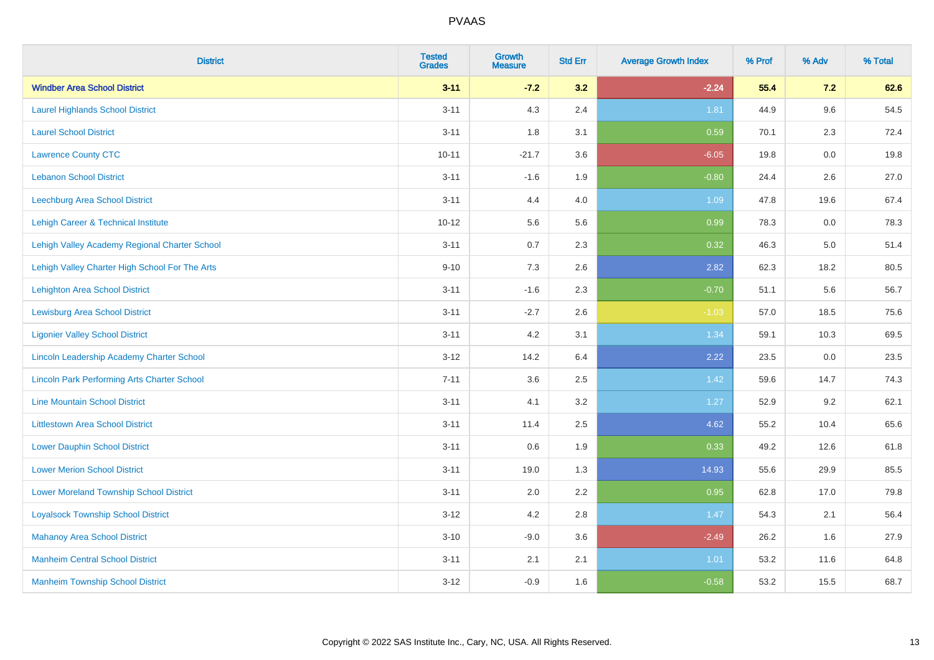| <b>District</b>                                    | <b>Tested</b><br><b>Grades</b> | <b>Growth</b><br><b>Measure</b> | <b>Std Err</b> | <b>Average Growth Index</b> | % Prof | % Adv   | % Total |
|----------------------------------------------------|--------------------------------|---------------------------------|----------------|-----------------------------|--------|---------|---------|
| <b>Windber Area School District</b>                | $3 - 11$                       | $-7.2$                          | 3.2            | $-2.24$                     | 55.4   | 7.2     | 62.6    |
| <b>Laurel Highlands School District</b>            | $3 - 11$                       | 4.3                             | 2.4            | 1.81                        | 44.9   | 9.6     | 54.5    |
| <b>Laurel School District</b>                      | $3 - 11$                       | 1.8                             | 3.1            | 0.59                        | 70.1   | 2.3     | 72.4    |
| <b>Lawrence County CTC</b>                         | $10 - 11$                      | $-21.7$                         | 3.6            | $-6.05$                     | 19.8   | $0.0\,$ | 19.8    |
| <b>Lebanon School District</b>                     | $3 - 11$                       | $-1.6$                          | 1.9            | $-0.80$                     | 24.4   | 2.6     | 27.0    |
| Leechburg Area School District                     | $3 - 11$                       | 4.4                             | 4.0            | 1.09                        | 47.8   | 19.6    | 67.4    |
| Lehigh Career & Technical Institute                | $10 - 12$                      | 5.6                             | 5.6            | 0.99                        | 78.3   | 0.0     | 78.3    |
| Lehigh Valley Academy Regional Charter School      | $3 - 11$                       | 0.7                             | 2.3            | 0.32                        | 46.3   | 5.0     | 51.4    |
| Lehigh Valley Charter High School For The Arts     | $9 - 10$                       | 7.3                             | 2.6            | 2.82                        | 62.3   | 18.2    | 80.5    |
| Lehighton Area School District                     | $3 - 11$                       | $-1.6$                          | 2.3            | $-0.70$                     | 51.1   | 5.6     | 56.7    |
| <b>Lewisburg Area School District</b>              | $3 - 11$                       | $-2.7$                          | 2.6            | $-1.03$                     | 57.0   | 18.5    | 75.6    |
| <b>Ligonier Valley School District</b>             | $3 - 11$                       | 4.2                             | 3.1            | 1.34                        | 59.1   | 10.3    | 69.5    |
| Lincoln Leadership Academy Charter School          | $3-12$                         | 14.2                            | 6.4            | 2.22                        | 23.5   | $0.0\,$ | 23.5    |
| <b>Lincoln Park Performing Arts Charter School</b> | $7 - 11$                       | 3.6                             | 2.5            | 1.42                        | 59.6   | 14.7    | 74.3    |
| <b>Line Mountain School District</b>               | $3 - 11$                       | 4.1                             | 3.2            | 1.27                        | 52.9   | 9.2     | 62.1    |
| <b>Littlestown Area School District</b>            | $3 - 11$                       | 11.4                            | 2.5            | 4.62                        | 55.2   | 10.4    | 65.6    |
| <b>Lower Dauphin School District</b>               | $3 - 11$                       | 0.6                             | 1.9            | 0.33                        | 49.2   | 12.6    | 61.8    |
| <b>Lower Merion School District</b>                | $3 - 11$                       | 19.0                            | 1.3            | 14.93                       | 55.6   | 29.9    | 85.5    |
| <b>Lower Moreland Township School District</b>     | $3 - 11$                       | 2.0                             | 2.2            | 0.95                        | 62.8   | 17.0    | 79.8    |
| <b>Loyalsock Township School District</b>          | $3 - 12$                       | 4.2                             | 2.8            | 1.47                        | 54.3   | 2.1     | 56.4    |
| <b>Mahanoy Area School District</b>                | $3 - 10$                       | $-9.0$                          | 3.6            | $-2.49$                     | 26.2   | 1.6     | 27.9    |
| <b>Manheim Central School District</b>             | $3 - 11$                       | 2.1                             | 2.1            | 1.01                        | 53.2   | 11.6    | 64.8    |
| <b>Manheim Township School District</b>            | $3 - 12$                       | $-0.9$                          | 1.6            | $-0.58$                     | 53.2   | 15.5    | 68.7    |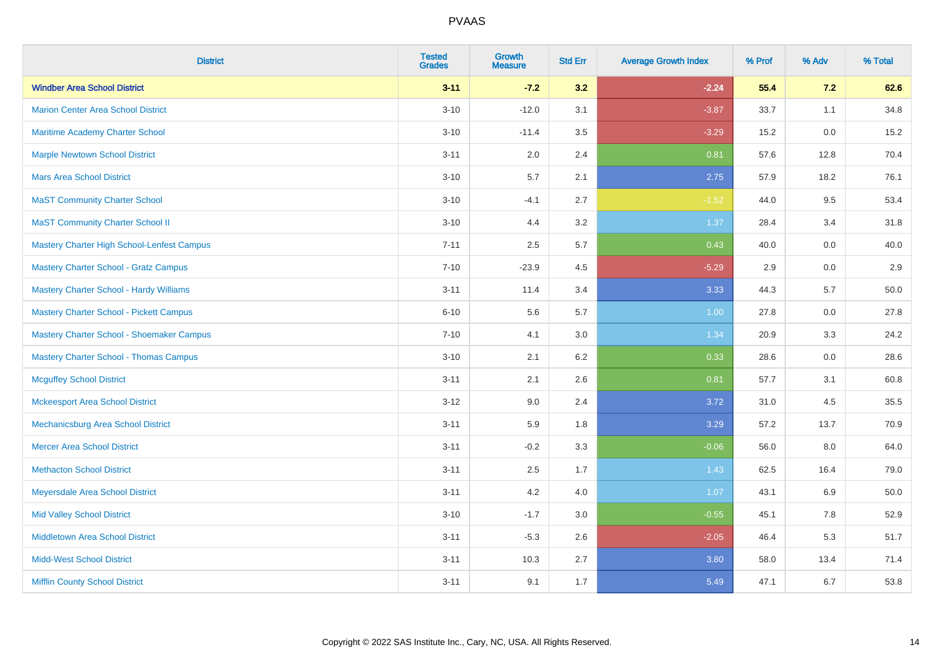| <b>District</b>                                | <b>Tested</b><br><b>Grades</b> | <b>Growth</b><br><b>Measure</b> | <b>Std Err</b> | <b>Average Growth Index</b> | % Prof | % Adv | % Total |
|------------------------------------------------|--------------------------------|---------------------------------|----------------|-----------------------------|--------|-------|---------|
| <b>Windber Area School District</b>            | $3 - 11$                       | $-7.2$                          | 3.2            | $-2.24$                     | 55.4   | 7.2   | 62.6    |
| <b>Marion Center Area School District</b>      | $3 - 10$                       | $-12.0$                         | 3.1            | $-3.87$                     | 33.7   | 1.1   | 34.8    |
| Maritime Academy Charter School                | $3 - 10$                       | $-11.4$                         | 3.5            | $-3.29$                     | 15.2   | 0.0   | 15.2    |
| <b>Marple Newtown School District</b>          | $3 - 11$                       | 2.0                             | 2.4            | 0.81                        | 57.6   | 12.8  | 70.4    |
| <b>Mars Area School District</b>               | $3 - 10$                       | 5.7                             | 2.1            | 2.75                        | 57.9   | 18.2  | 76.1    |
| <b>MaST Community Charter School</b>           | $3 - 10$                       | $-4.1$                          | 2.7            | $-1.52$                     | 44.0   | 9.5   | 53.4    |
| <b>MaST Community Charter School II</b>        | $3 - 10$                       | 4.4                             | 3.2            | 1.37                        | 28.4   | 3.4   | 31.8    |
| Mastery Charter High School-Lenfest Campus     | $7 - 11$                       | 2.5                             | 5.7            | 0.43                        | 40.0   | 0.0   | 40.0    |
| <b>Mastery Charter School - Gratz Campus</b>   | $7 - 10$                       | $-23.9$                         | 4.5            | $-5.29$                     | 2.9    | 0.0   | 2.9     |
| <b>Mastery Charter School - Hardy Williams</b> | $3 - 11$                       | 11.4                            | 3.4            | 3.33                        | 44.3   | 5.7   | 50.0    |
| <b>Mastery Charter School - Pickett Campus</b> | $6 - 10$                       | 5.6                             | 5.7            | 1.00                        | 27.8   | 0.0   | 27.8    |
| Mastery Charter School - Shoemaker Campus      | $7 - 10$                       | 4.1                             | 3.0            | 1.34                        | 20.9   | 3.3   | 24.2    |
| <b>Mastery Charter School - Thomas Campus</b>  | $3 - 10$                       | 2.1                             | 6.2            | 0.33                        | 28.6   | 0.0   | 28.6    |
| <b>Mcguffey School District</b>                | $3 - 11$                       | 2.1                             | 2.6            | 0.81                        | 57.7   | 3.1   | 60.8    |
| <b>Mckeesport Area School District</b>         | $3 - 12$                       | 9.0                             | 2.4            | 3.72                        | 31.0   | 4.5   | 35.5    |
| Mechanicsburg Area School District             | $3 - 11$                       | 5.9                             | 1.8            | 3.29                        | 57.2   | 13.7  | 70.9    |
| <b>Mercer Area School District</b>             | $3 - 11$                       | $-0.2$                          | 3.3            | $-0.06$                     | 56.0   | 8.0   | 64.0    |
| <b>Methacton School District</b>               | $3 - 11$                       | 2.5                             | 1.7            | 1.43                        | 62.5   | 16.4  | 79.0    |
| Meyersdale Area School District                | $3 - 11$                       | 4.2                             | 4.0            | 1.07                        | 43.1   | 6.9   | 50.0    |
| <b>Mid Valley School District</b>              | $3 - 10$                       | $-1.7$                          | 3.0            | $-0.55$                     | 45.1   | 7.8   | 52.9    |
| Middletown Area School District                | $3 - 11$                       | $-5.3$                          | 2.6            | $-2.05$                     | 46.4   | 5.3   | 51.7    |
| <b>Midd-West School District</b>               | $3 - 11$                       | 10.3                            | 2.7            | 3.80                        | 58.0   | 13.4  | 71.4    |
| <b>Mifflin County School District</b>          | $3 - 11$                       | 9.1                             | 1.7            | 5.49                        | 47.1   | 6.7   | 53.8    |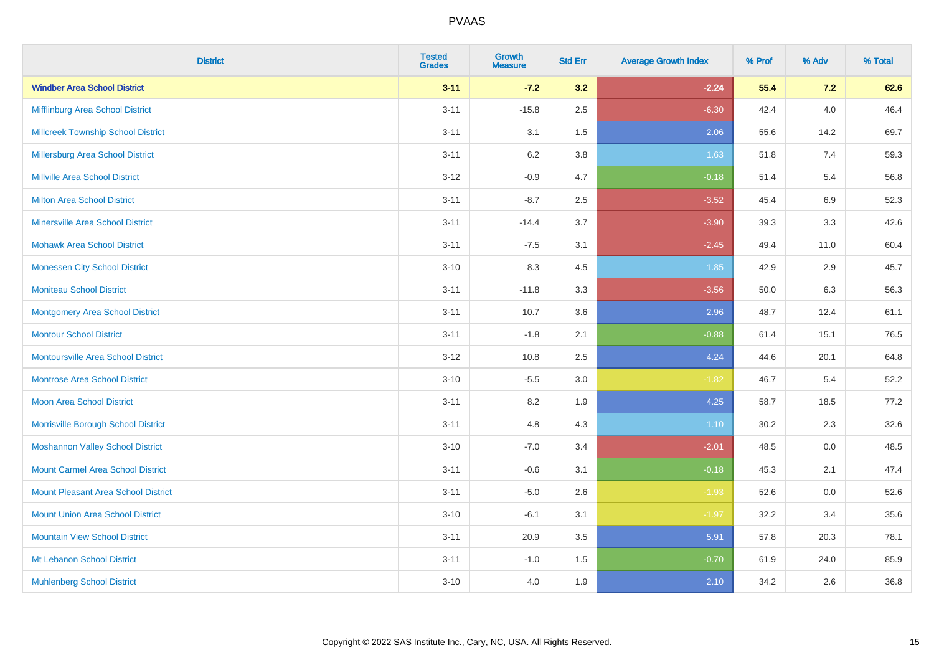| <b>District</b>                            | <b>Tested</b><br><b>Grades</b> | <b>Growth</b><br><b>Measure</b> | <b>Std Err</b> | <b>Average Growth Index</b> | % Prof | % Adv   | % Total |
|--------------------------------------------|--------------------------------|---------------------------------|----------------|-----------------------------|--------|---------|---------|
| <b>Windber Area School District</b>        | $3 - 11$                       | $-7.2$                          | 3.2            | $-2.24$                     | 55.4   | 7.2     | 62.6    |
| Mifflinburg Area School District           | $3 - 11$                       | $-15.8$                         | 2.5            | $-6.30$                     | 42.4   | $4.0\,$ | 46.4    |
| <b>Millcreek Township School District</b>  | $3 - 11$                       | 3.1                             | 1.5            | 2.06                        | 55.6   | 14.2    | 69.7    |
| <b>Millersburg Area School District</b>    | $3 - 11$                       | 6.2                             | 3.8            | 1.63                        | 51.8   | 7.4     | 59.3    |
| <b>Millville Area School District</b>      | $3-12$                         | $-0.9$                          | 4.7            | $-0.18$                     | 51.4   | 5.4     | 56.8    |
| <b>Milton Area School District</b>         | $3 - 11$                       | $-8.7$                          | 2.5            | $-3.52$                     | 45.4   | $6.9\,$ | 52.3    |
| <b>Minersville Area School District</b>    | $3 - 11$                       | $-14.4$                         | 3.7            | $-3.90$                     | 39.3   | 3.3     | 42.6    |
| <b>Mohawk Area School District</b>         | $3 - 11$                       | $-7.5$                          | 3.1            | $-2.45$                     | 49.4   | 11.0    | 60.4    |
| <b>Monessen City School District</b>       | $3 - 10$                       | 8.3                             | 4.5            | 1.85                        | 42.9   | 2.9     | 45.7    |
| <b>Moniteau School District</b>            | $3 - 11$                       | $-11.8$                         | 3.3            | $-3.56$                     | 50.0   | 6.3     | 56.3    |
| <b>Montgomery Area School District</b>     | $3 - 11$                       | 10.7                            | 3.6            | 2.96                        | 48.7   | 12.4    | 61.1    |
| <b>Montour School District</b>             | $3 - 11$                       | $-1.8$                          | 2.1            | $-0.88$                     | 61.4   | 15.1    | 76.5    |
| <b>Montoursville Area School District</b>  | $3 - 12$                       | 10.8                            | 2.5            | 4.24                        | 44.6   | 20.1    | 64.8    |
| <b>Montrose Area School District</b>       | $3 - 10$                       | $-5.5$                          | 3.0            | $-1.82$                     | 46.7   | 5.4     | 52.2    |
| Moon Area School District                  | $3 - 11$                       | 8.2                             | 1.9            | 4.25                        | 58.7   | 18.5    | 77.2    |
| Morrisville Borough School District        | $3 - 11$                       | 4.8                             | 4.3            | 1.10                        | 30.2   | 2.3     | 32.6    |
| <b>Moshannon Valley School District</b>    | $3 - 10$                       | $-7.0$                          | 3.4            | $-2.01$                     | 48.5   | 0.0     | 48.5    |
| <b>Mount Carmel Area School District</b>   | $3 - 11$                       | $-0.6$                          | 3.1            | $-0.18$                     | 45.3   | 2.1     | 47.4    |
| <b>Mount Pleasant Area School District</b> | $3 - 11$                       | $-5.0$                          | 2.6            | $-1.93$                     | 52.6   | 0.0     | 52.6    |
| <b>Mount Union Area School District</b>    | $3 - 10$                       | $-6.1$                          | 3.1            | $-1.97$                     | 32.2   | 3.4     | 35.6    |
| <b>Mountain View School District</b>       | $3 - 11$                       | 20.9                            | 3.5            | 5.91                        | 57.8   | 20.3    | 78.1    |
| Mt Lebanon School District                 | $3 - 11$                       | $-1.0$                          | 1.5            | $-0.70$                     | 61.9   | 24.0    | 85.9    |
| <b>Muhlenberg School District</b>          | $3 - 10$                       | 4.0                             | 1.9            | 2.10                        | 34.2   | 2.6     | 36.8    |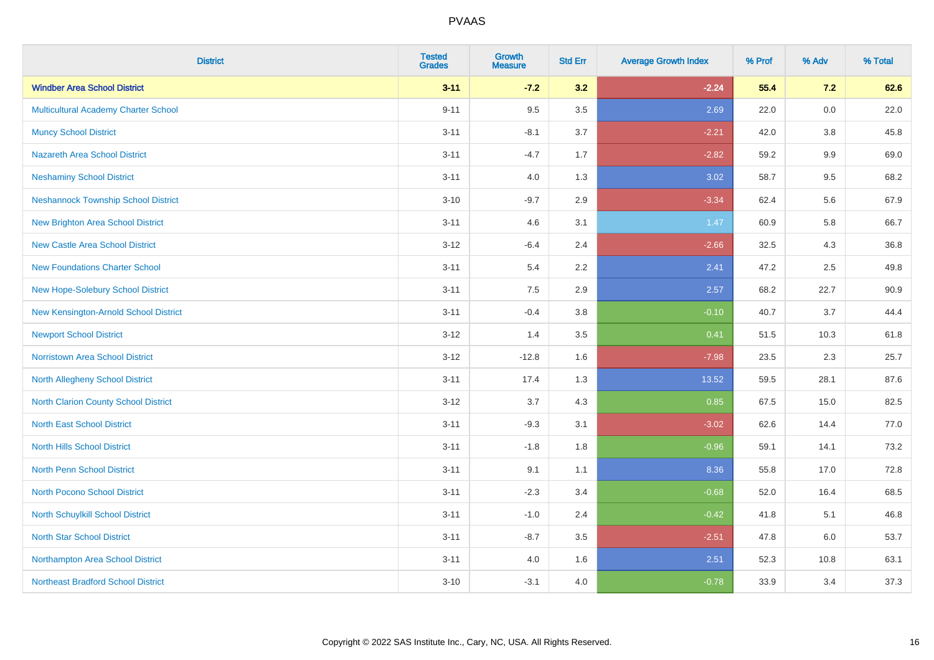| <b>District</b>                            | <b>Tested</b><br><b>Grades</b> | <b>Growth</b><br><b>Measure</b> | <b>Std Err</b> | <b>Average Growth Index</b> | % Prof | % Adv   | % Total |
|--------------------------------------------|--------------------------------|---------------------------------|----------------|-----------------------------|--------|---------|---------|
| <b>Windber Area School District</b>        | $3 - 11$                       | $-7.2$                          | 3.2            | $-2.24$                     | 55.4   | 7.2     | 62.6    |
| Multicultural Academy Charter School       | $9 - 11$                       | 9.5                             | 3.5            | 2.69                        | 22.0   | $0.0\,$ | 22.0    |
| <b>Muncy School District</b>               | $3 - 11$                       | $-8.1$                          | 3.7            | $-2.21$                     | 42.0   | 3.8     | 45.8    |
| <b>Nazareth Area School District</b>       | $3 - 11$                       | $-4.7$                          | 1.7            | $-2.82$                     | 59.2   | $9.9\,$ | 69.0    |
| <b>Neshaminy School District</b>           | $3 - 11$                       | 4.0                             | 1.3            | 3.02                        | 58.7   | 9.5     | 68.2    |
| <b>Neshannock Township School District</b> | $3 - 10$                       | $-9.7$                          | 2.9            | $-3.34$                     | 62.4   | 5.6     | 67.9    |
| <b>New Brighton Area School District</b>   | $3 - 11$                       | 4.6                             | 3.1            | 1.47                        | 60.9   | 5.8     | 66.7    |
| <b>New Castle Area School District</b>     | $3 - 12$                       | $-6.4$                          | 2.4            | $-2.66$                     | 32.5   | 4.3     | 36.8    |
| <b>New Foundations Charter School</b>      | $3 - 11$                       | 5.4                             | 2.2            | 2.41                        | 47.2   | 2.5     | 49.8    |
| New Hope-Solebury School District          | $3 - 11$                       | 7.5                             | 2.9            | 2.57                        | 68.2   | 22.7    | 90.9    |
| New Kensington-Arnold School District      | $3 - 11$                       | $-0.4$                          | 3.8            | $-0.10$                     | 40.7   | 3.7     | 44.4    |
| <b>Newport School District</b>             | $3 - 12$                       | 1.4                             | 3.5            | 0.41                        | 51.5   | 10.3    | 61.8    |
| Norristown Area School District            | $3 - 12$                       | $-12.8$                         | 1.6            | $-7.98$                     | 23.5   | $2.3\,$ | 25.7    |
| North Allegheny School District            | $3 - 11$                       | 17.4                            | 1.3            | 13.52                       | 59.5   | 28.1    | 87.6    |
| North Clarion County School District       | $3 - 12$                       | 3.7                             | 4.3            | 0.85                        | 67.5   | 15.0    | 82.5    |
| <b>North East School District</b>          | $3 - 11$                       | $-9.3$                          | 3.1            | $-3.02$                     | 62.6   | 14.4    | 77.0    |
| <b>North Hills School District</b>         | $3 - 11$                       | $-1.8$                          | 1.8            | $-0.96$                     | 59.1   | 14.1    | 73.2    |
| North Penn School District                 | $3 - 11$                       | 9.1                             | 1.1            | 8.36                        | 55.8   | 17.0    | 72.8    |
| <b>North Pocono School District</b>        | $3 - 11$                       | $-2.3$                          | 3.4            | $-0.68$                     | 52.0   | 16.4    | 68.5    |
| North Schuylkill School District           | $3 - 11$                       | $-1.0$                          | 2.4            | $-0.42$                     | 41.8   | 5.1     | 46.8    |
| <b>North Star School District</b>          | $3 - 11$                       | $-8.7$                          | 3.5            | $-2.51$                     | 47.8   | 6.0     | 53.7    |
| Northampton Area School District           | $3 - 11$                       | 4.0                             | 1.6            | 2.51                        | 52.3   | 10.8    | 63.1    |
| <b>Northeast Bradford School District</b>  | $3 - 10$                       | $-3.1$                          | 4.0            | $-0.78$                     | 33.9   | 3.4     | 37.3    |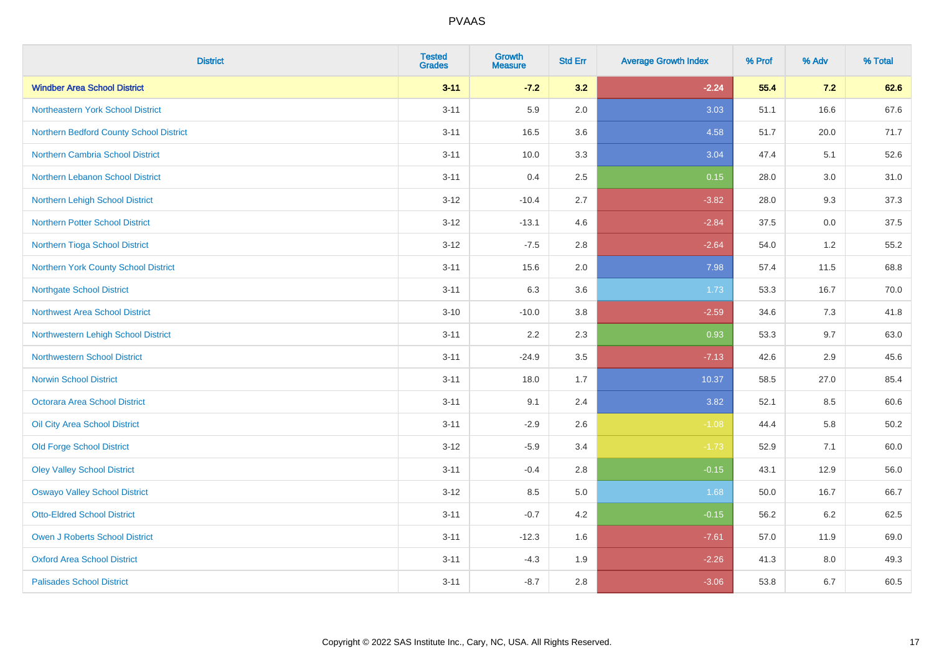| <b>District</b>                         | <b>Tested</b><br><b>Grades</b> | <b>Growth</b><br><b>Measure</b> | <b>Std Err</b> | <b>Average Growth Index</b> | % Prof | % Adv | % Total |
|-----------------------------------------|--------------------------------|---------------------------------|----------------|-----------------------------|--------|-------|---------|
| <b>Windber Area School District</b>     | $3 - 11$                       | $-7.2$                          | 3.2            | $-2.24$                     | 55.4   | $7.2$ | 62.6    |
| Northeastern York School District       | $3 - 11$                       | 5.9                             | 2.0            | 3.03                        | 51.1   | 16.6  | 67.6    |
| Northern Bedford County School District | $3 - 11$                       | 16.5                            | 3.6            | 4.58                        | 51.7   | 20.0  | 71.7    |
| Northern Cambria School District        | $3 - 11$                       | 10.0                            | 3.3            | 3.04                        | 47.4   | 5.1   | 52.6    |
| Northern Lebanon School District        | $3 - 11$                       | 0.4                             | 2.5            | 0.15                        | 28.0   | 3.0   | 31.0    |
| Northern Lehigh School District         | $3 - 12$                       | $-10.4$                         | 2.7            | $-3.82$                     | 28.0   | 9.3   | 37.3    |
| <b>Northern Potter School District</b>  | $3 - 12$                       | $-13.1$                         | 4.6            | $-2.84$                     | 37.5   | 0.0   | 37.5    |
| Northern Tioga School District          | $3 - 12$                       | $-7.5$                          | 2.8            | $-2.64$                     | 54.0   | 1.2   | 55.2    |
| Northern York County School District    | $3 - 11$                       | 15.6                            | 2.0            | 7.98                        | 57.4   | 11.5  | 68.8    |
| <b>Northgate School District</b>        | $3 - 11$                       | 6.3                             | 3.6            | 1.73                        | 53.3   | 16.7  | 70.0    |
| Northwest Area School District          | $3 - 10$                       | $-10.0$                         | 3.8            | $-2.59$                     | 34.6   | 7.3   | 41.8    |
| Northwestern Lehigh School District     | $3 - 11$                       | 2.2                             | 2.3            | 0.93                        | 53.3   | 9.7   | 63.0    |
| <b>Northwestern School District</b>     | $3 - 11$                       | $-24.9$                         | 3.5            | $-7.13$                     | 42.6   | 2.9   | 45.6    |
| <b>Norwin School District</b>           | $3 - 11$                       | 18.0                            | 1.7            | 10.37                       | 58.5   | 27.0  | 85.4    |
| Octorara Area School District           | $3 - 11$                       | 9.1                             | 2.4            | 3.82                        | 52.1   | 8.5   | 60.6    |
| Oil City Area School District           | $3 - 11$                       | $-2.9$                          | 2.6            | $-1.08$                     | 44.4   | 5.8   | 50.2    |
| <b>Old Forge School District</b>        | $3 - 12$                       | $-5.9$                          | 3.4            | $-1.73$                     | 52.9   | 7.1   | 60.0    |
| <b>Oley Valley School District</b>      | $3 - 11$                       | $-0.4$                          | 2.8            | $-0.15$                     | 43.1   | 12.9  | 56.0    |
| <b>Oswayo Valley School District</b>    | $3 - 12$                       | 8.5                             | 5.0            | 1.68                        | 50.0   | 16.7  | 66.7    |
| <b>Otto-Eldred School District</b>      | $3 - 11$                       | $-0.7$                          | 4.2            | $-0.15$                     | 56.2   | 6.2   | 62.5    |
| <b>Owen J Roberts School District</b>   | $3 - 11$                       | $-12.3$                         | 1.6            | $-7.61$                     | 57.0   | 11.9  | 69.0    |
| <b>Oxford Area School District</b>      | $3 - 11$                       | $-4.3$                          | 1.9            | $-2.26$                     | 41.3   | 8.0   | 49.3    |
| <b>Palisades School District</b>        | $3 - 11$                       | $-8.7$                          | 2.8            | $-3.06$                     | 53.8   | 6.7   | 60.5    |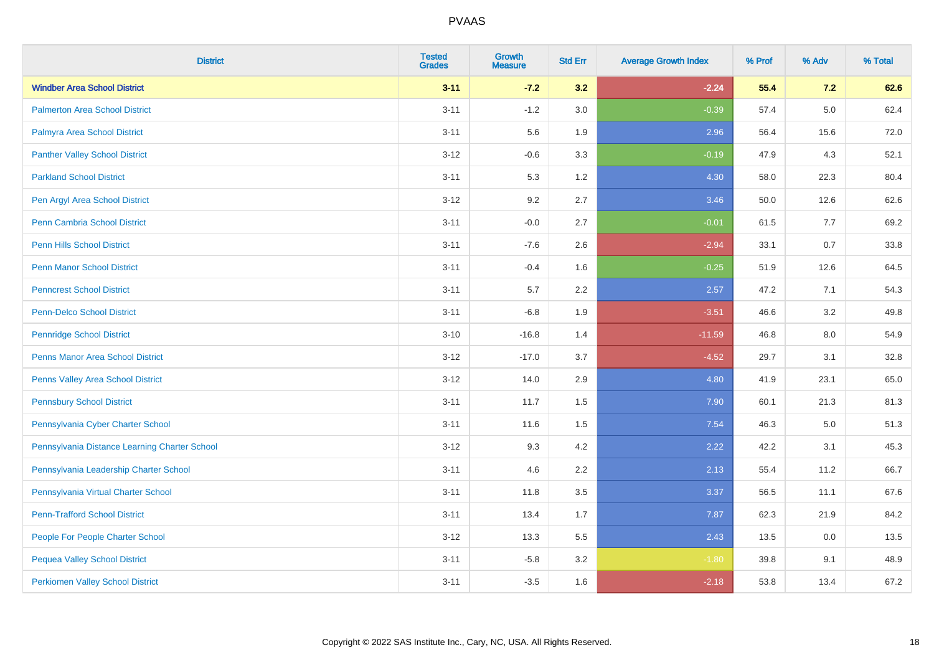| <b>District</b>                               | <b>Tested</b><br><b>Grades</b> | <b>Growth</b><br><b>Measure</b> | <b>Std Err</b> | <b>Average Growth Index</b> | % Prof | % Adv | % Total |
|-----------------------------------------------|--------------------------------|---------------------------------|----------------|-----------------------------|--------|-------|---------|
| <b>Windber Area School District</b>           | $3 - 11$                       | $-7.2$                          | 3.2            | $-2.24$                     | 55.4   | 7.2   | 62.6    |
| <b>Palmerton Area School District</b>         | $3 - 11$                       | $-1.2$                          | 3.0            | $-0.39$                     | 57.4   | 5.0   | 62.4    |
| Palmyra Area School District                  | $3 - 11$                       | 5.6                             | 1.9            | 2.96                        | 56.4   | 15.6  | 72.0    |
| <b>Panther Valley School District</b>         | $3 - 12$                       | $-0.6$                          | 3.3            | $-0.19$                     | 47.9   | 4.3   | 52.1    |
| <b>Parkland School District</b>               | $3 - 11$                       | 5.3                             | 1.2            | 4.30                        | 58.0   | 22.3  | 80.4    |
| Pen Argyl Area School District                | $3-12$                         | 9.2                             | 2.7            | 3.46                        | 50.0   | 12.6  | 62.6    |
| Penn Cambria School District                  | $3 - 11$                       | $-0.0$                          | 2.7            | $-0.01$                     | 61.5   | $7.7$ | 69.2    |
| <b>Penn Hills School District</b>             | $3 - 11$                       | $-7.6$                          | 2.6            | $-2.94$                     | 33.1   | 0.7   | 33.8    |
| <b>Penn Manor School District</b>             | $3 - 11$                       | $-0.4$                          | 1.6            | $-0.25$                     | 51.9   | 12.6  | 64.5    |
| <b>Penncrest School District</b>              | $3 - 11$                       | 5.7                             | 2.2            | 2.57                        | 47.2   | 7.1   | 54.3    |
| <b>Penn-Delco School District</b>             | $3 - 11$                       | $-6.8$                          | 1.9            | $-3.51$                     | 46.6   | 3.2   | 49.8    |
| <b>Pennridge School District</b>              | $3 - 10$                       | $-16.8$                         | 1.4            | $-11.59$                    | 46.8   | 8.0   | 54.9    |
| <b>Penns Manor Area School District</b>       | $3 - 12$                       | $-17.0$                         | 3.7            | $-4.52$                     | 29.7   | 3.1   | 32.8    |
| <b>Penns Valley Area School District</b>      | $3-12$                         | 14.0                            | 2.9            | 4.80                        | 41.9   | 23.1  | 65.0    |
| <b>Pennsbury School District</b>              | $3 - 11$                       | 11.7                            | 1.5            | 7.90                        | 60.1   | 21.3  | 81.3    |
| Pennsylvania Cyber Charter School             | $3 - 11$                       | 11.6                            | 1.5            | 7.54                        | 46.3   | 5.0   | 51.3    |
| Pennsylvania Distance Learning Charter School | $3-12$                         | 9.3                             | 4.2            | 2.22                        | 42.2   | 3.1   | 45.3    |
| Pennsylvania Leadership Charter School        | $3 - 11$                       | 4.6                             | 2.2            | 2.13                        | 55.4   | 11.2  | 66.7    |
| Pennsylvania Virtual Charter School           | $3 - 11$                       | 11.8                            | 3.5            | 3.37                        | 56.5   | 11.1  | 67.6    |
| <b>Penn-Trafford School District</b>          | $3 - 11$                       | 13.4                            | 1.7            | 7.87                        | 62.3   | 21.9  | 84.2    |
| People For People Charter School              | $3 - 12$                       | 13.3                            | 5.5            | 2.43                        | 13.5   | 0.0   | 13.5    |
| <b>Pequea Valley School District</b>          | $3 - 11$                       | $-5.8$                          | 3.2            | $-1.80$                     | 39.8   | 9.1   | 48.9    |
| <b>Perkiomen Valley School District</b>       | $3 - 11$                       | $-3.5$                          | 1.6            | $-2.18$                     | 53.8   | 13.4  | 67.2    |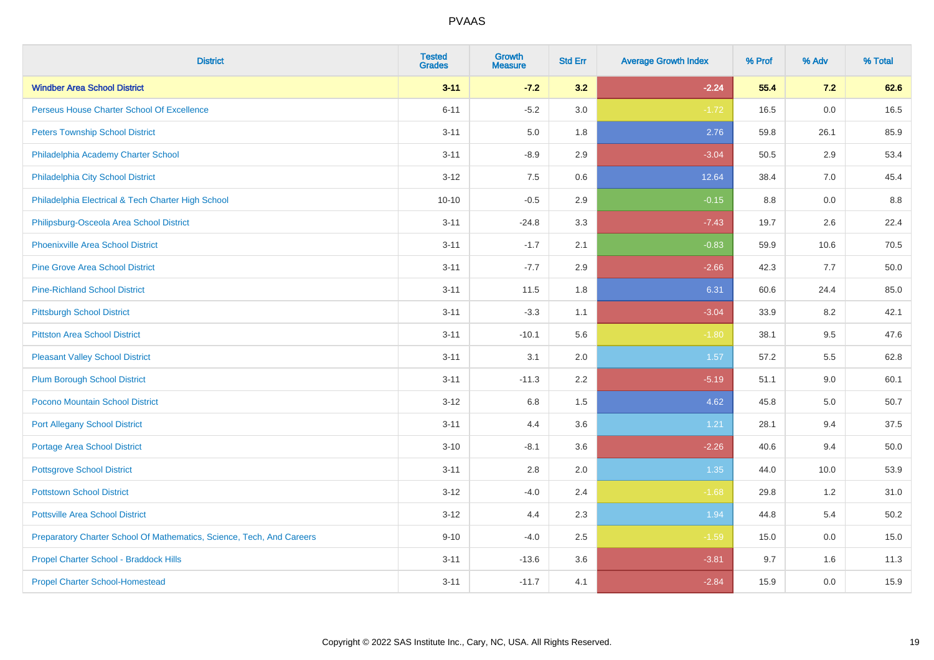| <b>District</b>                                                       | <b>Tested</b><br><b>Grades</b> | <b>Growth</b><br><b>Measure</b> | <b>Std Err</b> | <b>Average Growth Index</b> | % Prof | % Adv | % Total |
|-----------------------------------------------------------------------|--------------------------------|---------------------------------|----------------|-----------------------------|--------|-------|---------|
| <b>Windber Area School District</b>                                   | $3 - 11$                       | $-7.2$                          | 3.2            | $-2.24$                     | 55.4   | $7.2$ | 62.6    |
| Perseus House Charter School Of Excellence                            | $6 - 11$                       | $-5.2$                          | 3.0            | $-1.72$                     | 16.5   | 0.0   | 16.5    |
| <b>Peters Township School District</b>                                | $3 - 11$                       | 5.0                             | 1.8            | 2.76                        | 59.8   | 26.1  | 85.9    |
| Philadelphia Academy Charter School                                   | $3 - 11$                       | $-8.9$                          | 2.9            | $-3.04$                     | 50.5   | 2.9   | 53.4    |
| Philadelphia City School District                                     | $3 - 12$                       | 7.5                             | 0.6            | 12.64                       | 38.4   | 7.0   | 45.4    |
| Philadelphia Electrical & Tech Charter High School                    | $10 - 10$                      | $-0.5$                          | 2.9            | $-0.15$                     | 8.8    | 0.0   | 8.8     |
| Philipsburg-Osceola Area School District                              | $3 - 11$                       | $-24.8$                         | 3.3            | $-7.43$                     | 19.7   | 2.6   | 22.4    |
| <b>Phoenixville Area School District</b>                              | $3 - 11$                       | $-1.7$                          | 2.1            | $-0.83$                     | 59.9   | 10.6  | 70.5    |
| <b>Pine Grove Area School District</b>                                | $3 - 11$                       | $-7.7$                          | 2.9            | $-2.66$                     | 42.3   | 7.7   | 50.0    |
| <b>Pine-Richland School District</b>                                  | $3 - 11$                       | 11.5                            | 1.8            | 6.31                        | 60.6   | 24.4  | 85.0    |
| <b>Pittsburgh School District</b>                                     | $3 - 11$                       | $-3.3$                          | 1.1            | $-3.04$                     | 33.9   | 8.2   | 42.1    |
| <b>Pittston Area School District</b>                                  | $3 - 11$                       | $-10.1$                         | 5.6            | $-1.80$                     | 38.1   | 9.5   | 47.6    |
| <b>Pleasant Valley School District</b>                                | $3 - 11$                       | 3.1                             | 2.0            | 1.57                        | 57.2   | 5.5   | 62.8    |
| <b>Plum Borough School District</b>                                   | $3 - 11$                       | $-11.3$                         | 2.2            | $-5.19$                     | 51.1   | 9.0   | 60.1    |
| Pocono Mountain School District                                       | $3 - 12$                       | 6.8                             | 1.5            | 4.62                        | 45.8   | 5.0   | 50.7    |
| <b>Port Allegany School District</b>                                  | $3 - 11$                       | 4.4                             | 3.6            | 1.21                        | 28.1   | 9.4   | 37.5    |
| <b>Portage Area School District</b>                                   | $3 - 10$                       | $-8.1$                          | 3.6            | $-2.26$                     | 40.6   | 9.4   | 50.0    |
| <b>Pottsgrove School District</b>                                     | $3 - 11$                       | 2.8                             | 2.0            | 1.35                        | 44.0   | 10.0  | 53.9    |
| <b>Pottstown School District</b>                                      | $3 - 12$                       | $-4.0$                          | 2.4            | $-1.68$                     | 29.8   | 1.2   | 31.0    |
| <b>Pottsville Area School District</b>                                | $3 - 12$                       | 4.4                             | 2.3            | 1.94                        | 44.8   | 5.4   | 50.2    |
| Preparatory Charter School Of Mathematics, Science, Tech, And Careers | $9 - 10$                       | $-4.0$                          | 2.5            | $-1.59$                     | 15.0   | 0.0   | 15.0    |
| Propel Charter School - Braddock Hills                                | $3 - 11$                       | $-13.6$                         | 3.6            | $-3.81$                     | 9.7    | 1.6   | 11.3    |
| <b>Propel Charter School-Homestead</b>                                | $3 - 11$                       | $-11.7$                         | 4.1            | $-2.84$                     | 15.9   | 0.0   | 15.9    |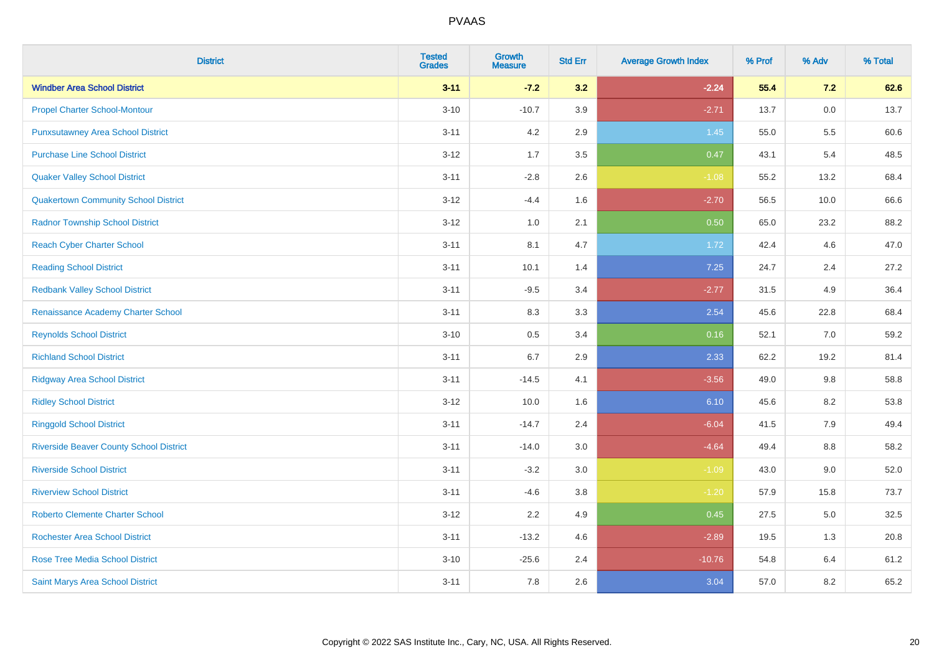| <b>District</b>                                | <b>Tested</b><br><b>Grades</b> | <b>Growth</b><br><b>Measure</b> | <b>Std Err</b> | <b>Average Growth Index</b> | % Prof | % Adv   | % Total |
|------------------------------------------------|--------------------------------|---------------------------------|----------------|-----------------------------|--------|---------|---------|
| <b>Windber Area School District</b>            | $3 - 11$                       | $-7.2$                          | 3.2            | $-2.24$                     | 55.4   | 7.2     | 62.6    |
| <b>Propel Charter School-Montour</b>           | $3 - 10$                       | $-10.7$                         | 3.9            | $-2.71$                     | 13.7   | $0.0\,$ | 13.7    |
| <b>Punxsutawney Area School District</b>       | $3 - 11$                       | 4.2                             | 2.9            | 1.45                        | 55.0   | 5.5     | 60.6    |
| <b>Purchase Line School District</b>           | $3 - 12$                       | 1.7                             | 3.5            | 0.47                        | 43.1   | 5.4     | 48.5    |
| <b>Quaker Valley School District</b>           | $3 - 11$                       | $-2.8$                          | 2.6            | $-1.08$                     | 55.2   | 13.2    | 68.4    |
| <b>Quakertown Community School District</b>    | $3 - 12$                       | $-4.4$                          | 1.6            | $-2.70$                     | 56.5   | 10.0    | 66.6    |
| <b>Radnor Township School District</b>         | $3 - 12$                       | 1.0                             | 2.1            | 0.50                        | 65.0   | 23.2    | 88.2    |
| <b>Reach Cyber Charter School</b>              | $3 - 11$                       | 8.1                             | 4.7            | 1.72                        | 42.4   | 4.6     | 47.0    |
| <b>Reading School District</b>                 | $3 - 11$                       | 10.1                            | 1.4            | 7.25                        | 24.7   | 2.4     | 27.2    |
| <b>Redbank Valley School District</b>          | $3 - 11$                       | $-9.5$                          | 3.4            | $-2.77$                     | 31.5   | 4.9     | 36.4    |
| Renaissance Academy Charter School             | $3 - 11$                       | 8.3                             | 3.3            | 2.54                        | 45.6   | 22.8    | 68.4    |
| <b>Reynolds School District</b>                | $3 - 10$                       | 0.5                             | 3.4            | 0.16                        | 52.1   | 7.0     | 59.2    |
| <b>Richland School District</b>                | $3 - 11$                       | 6.7                             | 2.9            | 2.33                        | 62.2   | 19.2    | 81.4    |
| <b>Ridgway Area School District</b>            | $3 - 11$                       | $-14.5$                         | 4.1            | $-3.56$                     | 49.0   | 9.8     | 58.8    |
| <b>Ridley School District</b>                  | $3-12$                         | 10.0                            | 1.6            | 6.10                        | 45.6   | 8.2     | 53.8    |
| <b>Ringgold School District</b>                | $3 - 11$                       | $-14.7$                         | 2.4            | $-6.04$                     | 41.5   | 7.9     | 49.4    |
| <b>Riverside Beaver County School District</b> | $3 - 11$                       | $-14.0$                         | 3.0            | $-4.64$                     | 49.4   | 8.8     | 58.2    |
| <b>Riverside School District</b>               | $3 - 11$                       | $-3.2$                          | 3.0            | $-1.09$                     | 43.0   | 9.0     | 52.0    |
| <b>Riverview School District</b>               | $3 - 11$                       | $-4.6$                          | $3.8\,$        | $-1.20$                     | 57.9   | 15.8    | 73.7    |
| <b>Roberto Clemente Charter School</b>         | $3-12$                         | 2.2                             | 4.9            | 0.45                        | 27.5   | 5.0     | 32.5    |
| <b>Rochester Area School District</b>          | $3 - 11$                       | $-13.2$                         | 4.6            | $-2.89$                     | 19.5   | 1.3     | 20.8    |
| <b>Rose Tree Media School District</b>         | $3 - 10$                       | $-25.6$                         | 2.4            | $-10.76$                    | 54.8   | 6.4     | 61.2    |
| <b>Saint Marys Area School District</b>        | $3 - 11$                       | 7.8                             | 2.6            | 3.04                        | 57.0   | 8.2     | 65.2    |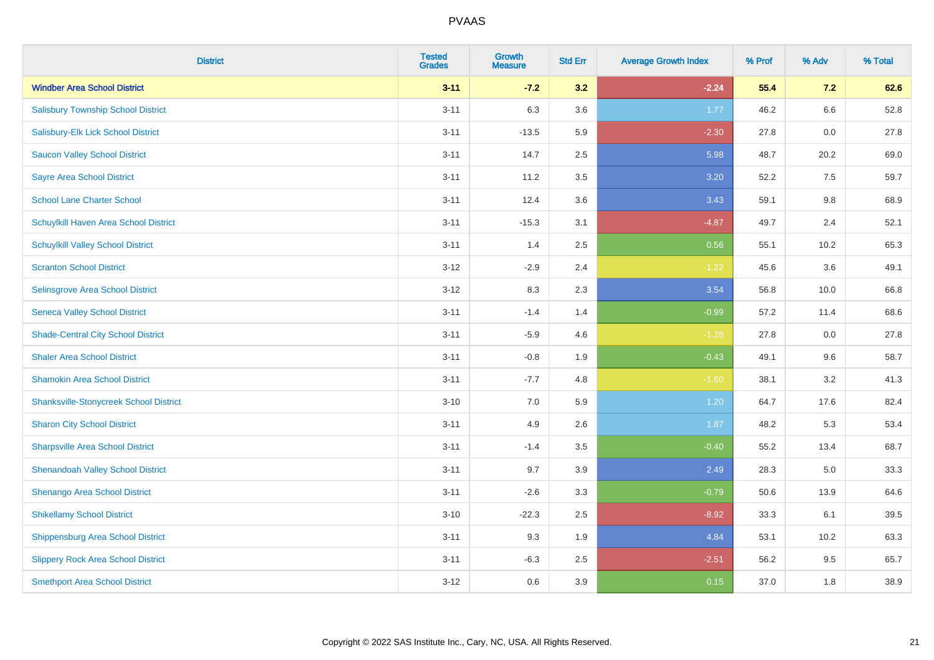| <b>District</b>                               | <b>Tested</b><br><b>Grades</b> | <b>Growth</b><br><b>Measure</b> | <b>Std Err</b> | <b>Average Growth Index</b> | % Prof | % Adv | % Total |
|-----------------------------------------------|--------------------------------|---------------------------------|----------------|-----------------------------|--------|-------|---------|
| <b>Windber Area School District</b>           | $3 - 11$                       | $-7.2$                          | 3.2            | $-2.24$                     | 55.4   | 7.2   | 62.6    |
| <b>Salisbury Township School District</b>     | $3 - 11$                       | 6.3                             | 3.6            | 1.77                        | 46.2   | 6.6   | 52.8    |
| Salisbury-Elk Lick School District            | $3 - 11$                       | $-13.5$                         | 5.9            | $-2.30$                     | 27.8   | 0.0   | 27.8    |
| <b>Saucon Valley School District</b>          | $3 - 11$                       | 14.7                            | 2.5            | 5.98                        | 48.7   | 20.2  | 69.0    |
| <b>Sayre Area School District</b>             | $3 - 11$                       | 11.2                            | 3.5            | 3.20                        | 52.2   | 7.5   | 59.7    |
| <b>School Lane Charter School</b>             | $3 - 11$                       | 12.4                            | 3.6            | 3.43                        | 59.1   | 9.8   | 68.9    |
| Schuylkill Haven Area School District         | $3 - 11$                       | $-15.3$                         | 3.1            | $-4.87$                     | 49.7   | 2.4   | 52.1    |
| <b>Schuylkill Valley School District</b>      | $3 - 11$                       | 1.4                             | 2.5            | 0.56                        | 55.1   | 10.2  | 65.3    |
| <b>Scranton School District</b>               | $3 - 12$                       | $-2.9$                          | 2.4            | $-1.22$                     | 45.6   | 3.6   | 49.1    |
| <b>Selinsgrove Area School District</b>       | $3 - 12$                       | 8.3                             | 2.3            | 3.54                        | 56.8   | 10.0  | 66.8    |
| <b>Seneca Valley School District</b>          | $3 - 11$                       | $-1.4$                          | 1.4            | $-0.99$                     | 57.2   | 11.4  | 68.6    |
| <b>Shade-Central City School District</b>     | $3 - 11$                       | $-5.9$                          | 4.6            | $-1.28$                     | 27.8   | 0.0   | 27.8    |
| <b>Shaler Area School District</b>            | $3 - 11$                       | $-0.8$                          | 1.9            | $-0.43$                     | 49.1   | 9.6   | 58.7    |
| <b>Shamokin Area School District</b>          | $3 - 11$                       | $-7.7$                          | 4.8            | $-1.60$                     | 38.1   | 3.2   | 41.3    |
| <b>Shanksville-Stonycreek School District</b> | $3 - 10$                       | 7.0                             | 5.9            | 1.20                        | 64.7   | 17.6  | 82.4    |
| <b>Sharon City School District</b>            | $3 - 11$                       | 4.9                             | 2.6            | 1.87                        | 48.2   | 5.3   | 53.4    |
| <b>Sharpsville Area School District</b>       | $3 - 11$                       | $-1.4$                          | 3.5            | $-0.40$                     | 55.2   | 13.4  | 68.7    |
| <b>Shenandoah Valley School District</b>      | $3 - 11$                       | 9.7                             | 3.9            | 2.49                        | 28.3   | 5.0   | 33.3    |
| Shenango Area School District                 | $3 - 11$                       | $-2.6$                          | 3.3            | $-0.79$                     | 50.6   | 13.9  | 64.6    |
| <b>Shikellamy School District</b>             | $3 - 10$                       | $-22.3$                         | 2.5            | $-8.92$                     | 33.3   | 6.1   | 39.5    |
| <b>Shippensburg Area School District</b>      | $3 - 11$                       | 9.3                             | 1.9            | 4.84                        | 53.1   | 10.2  | 63.3    |
| <b>Slippery Rock Area School District</b>     | $3 - 11$                       | $-6.3$                          | 2.5            | $-2.51$                     | 56.2   | 9.5   | 65.7    |
| <b>Smethport Area School District</b>         | $3 - 12$                       | 0.6                             | 3.9            | 0.15                        | 37.0   | 1.8   | 38.9    |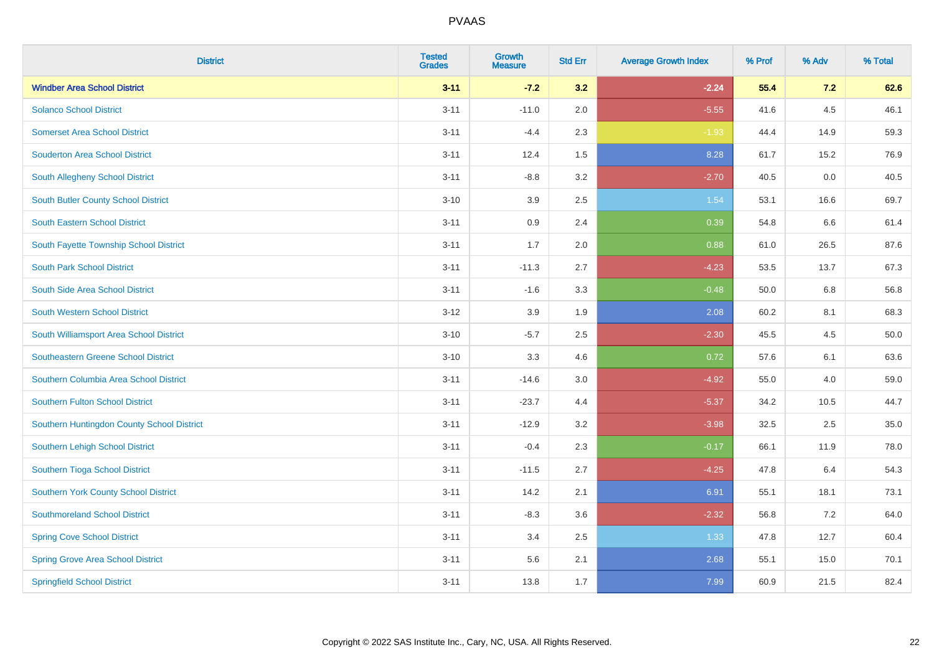| <b>District</b>                            | <b>Tested</b><br><b>Grades</b> | <b>Growth</b><br><b>Measure</b> | <b>Std Err</b> | <b>Average Growth Index</b> | % Prof | % Adv | % Total |
|--------------------------------------------|--------------------------------|---------------------------------|----------------|-----------------------------|--------|-------|---------|
| <b>Windber Area School District</b>        | $3 - 11$                       | $-7.2$                          | 3.2            | $-2.24$                     | 55.4   | 7.2   | 62.6    |
| <b>Solanco School District</b>             | $3 - 11$                       | $-11.0$                         | 2.0            | $-5.55$                     | 41.6   | 4.5   | 46.1    |
| <b>Somerset Area School District</b>       | $3 - 11$                       | $-4.4$                          | 2.3            | $-1.93$                     | 44.4   | 14.9  | 59.3    |
| <b>Souderton Area School District</b>      | $3 - 11$                       | 12.4                            | 1.5            | 8.28                        | 61.7   | 15.2  | 76.9    |
| South Allegheny School District            | $3 - 11$                       | $-8.8$                          | 3.2            | $-2.70$                     | 40.5   | 0.0   | 40.5    |
| South Butler County School District        | $3 - 10$                       | 3.9                             | 2.5            | 1.54                        | 53.1   | 16.6  | 69.7    |
| South Eastern School District              | $3 - 11$                       | 0.9                             | 2.4            | 0.39                        | 54.8   | 6.6   | 61.4    |
| South Fayette Township School District     | $3 - 11$                       | 1.7                             | 2.0            | 0.88                        | 61.0   | 26.5  | 87.6    |
| <b>South Park School District</b>          | $3 - 11$                       | $-11.3$                         | 2.7            | $-4.23$                     | 53.5   | 13.7  | 67.3    |
| South Side Area School District            | $3 - 11$                       | $-1.6$                          | 3.3            | $-0.48$                     | 50.0   | 6.8   | 56.8    |
| South Western School District              | $3 - 12$                       | 3.9                             | 1.9            | 2.08                        | 60.2   | 8.1   | 68.3    |
| South Williamsport Area School District    | $3 - 10$                       | $-5.7$                          | 2.5            | $-2.30$                     | 45.5   | 4.5   | 50.0    |
| <b>Southeastern Greene School District</b> | $3 - 10$                       | 3.3                             | 4.6            | 0.72                        | 57.6   | 6.1   | 63.6    |
| Southern Columbia Area School District     | $3 - 11$                       | $-14.6$                         | $3.0\,$        | $-4.92$                     | 55.0   | 4.0   | 59.0    |
| <b>Southern Fulton School District</b>     | $3 - 11$                       | $-23.7$                         | 4.4            | $-5.37$                     | 34.2   | 10.5  | 44.7    |
| Southern Huntingdon County School District | $3 - 11$                       | $-12.9$                         | 3.2            | $-3.98$                     | 32.5   | 2.5   | 35.0    |
| Southern Lehigh School District            | $3 - 11$                       | $-0.4$                          | 2.3            | $-0.17$                     | 66.1   | 11.9  | 78.0    |
| Southern Tioga School District             | $3 - 11$                       | $-11.5$                         | 2.7            | $-4.25$                     | 47.8   | 6.4   | 54.3    |
| Southern York County School District       | $3 - 11$                       | 14.2                            | 2.1            | 6.91                        | 55.1   | 18.1  | 73.1    |
| <b>Southmoreland School District</b>       | $3 - 11$                       | $-8.3$                          | 3.6            | $-2.32$                     | 56.8   | 7.2   | 64.0    |
| <b>Spring Cove School District</b>         | $3 - 11$                       | 3.4                             | 2.5            | 1.33                        | 47.8   | 12.7  | 60.4    |
| <b>Spring Grove Area School District</b>   | $3 - 11$                       | 5.6                             | 2.1            | 2.68                        | 55.1   | 15.0  | 70.1    |
| <b>Springfield School District</b>         | $3 - 11$                       | 13.8                            | 1.7            | 7.99                        | 60.9   | 21.5  | 82.4    |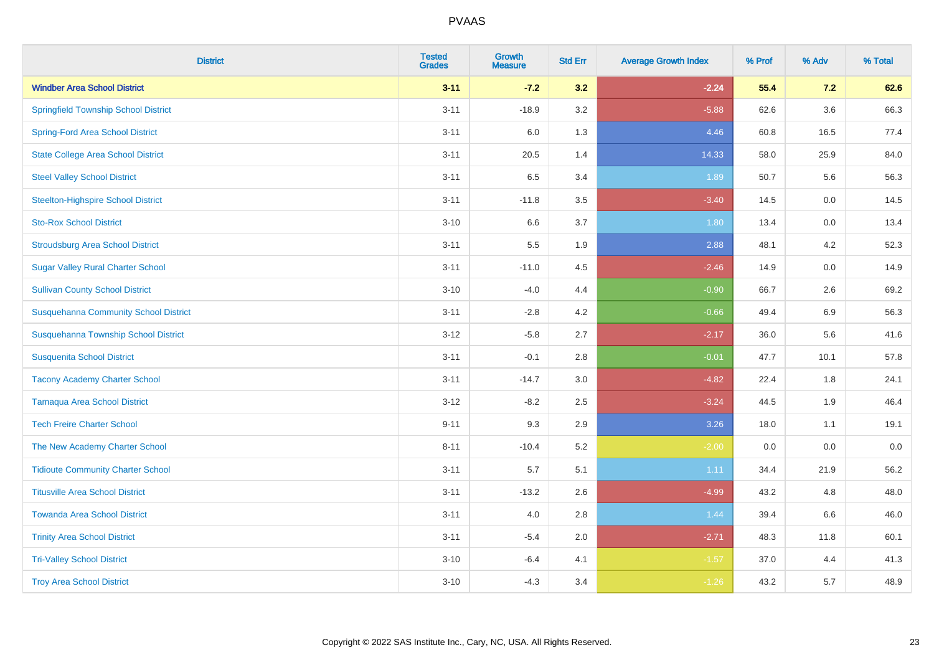| <b>District</b>                              | <b>Tested</b><br><b>Grades</b> | <b>Growth</b><br><b>Measure</b> | <b>Std Err</b> | <b>Average Growth Index</b> | % Prof | % Adv   | % Total |
|----------------------------------------------|--------------------------------|---------------------------------|----------------|-----------------------------|--------|---------|---------|
| <b>Windber Area School District</b>          | $3 - 11$                       | $-7.2$                          | 3.2            | $-2.24$                     | 55.4   | 7.2     | 62.6    |
| <b>Springfield Township School District</b>  | $3 - 11$                       | $-18.9$                         | 3.2            | $-5.88$                     | 62.6   | $3.6\,$ | 66.3    |
| <b>Spring-Ford Area School District</b>      | $3 - 11$                       | 6.0                             | 1.3            | 4.46                        | 60.8   | 16.5    | 77.4    |
| <b>State College Area School District</b>    | $3 - 11$                       | 20.5                            | 1.4            | 14.33                       | 58.0   | 25.9    | 84.0    |
| <b>Steel Valley School District</b>          | $3 - 11$                       | 6.5                             | 3.4            | 1.89                        | 50.7   | 5.6     | 56.3    |
| <b>Steelton-Highspire School District</b>    | $3 - 11$                       | $-11.8$                         | 3.5            | $-3.40$                     | 14.5   | 0.0     | 14.5    |
| <b>Sto-Rox School District</b>               | $3 - 10$                       | 6.6                             | 3.7            | 1.80                        | 13.4   | 0.0     | 13.4    |
| <b>Stroudsburg Area School District</b>      | $3 - 11$                       | 5.5                             | 1.9            | 2.88                        | 48.1   | 4.2     | 52.3    |
| <b>Sugar Valley Rural Charter School</b>     | $3 - 11$                       | $-11.0$                         | 4.5            | $-2.46$                     | 14.9   | 0.0     | 14.9    |
| <b>Sullivan County School District</b>       | $3 - 10$                       | $-4.0$                          | 4.4            | $-0.90$                     | 66.7   | $2.6\,$ | 69.2    |
| <b>Susquehanna Community School District</b> | $3 - 11$                       | $-2.8$                          | 4.2            | $-0.66$                     | 49.4   | 6.9     | 56.3    |
| Susquehanna Township School District         | $3 - 12$                       | $-5.8$                          | 2.7            | $-2.17$                     | 36.0   | 5.6     | 41.6    |
| <b>Susquenita School District</b>            | $3 - 11$                       | $-0.1$                          | 2.8            | $-0.01$                     | 47.7   | 10.1    | 57.8    |
| <b>Tacony Academy Charter School</b>         | $3 - 11$                       | $-14.7$                         | 3.0            | $-4.82$                     | 22.4   | 1.8     | 24.1    |
| <b>Tamaqua Area School District</b>          | $3 - 12$                       | $-8.2$                          | 2.5            | $-3.24$                     | 44.5   | 1.9     | 46.4    |
| <b>Tech Freire Charter School</b>            | $9 - 11$                       | 9.3                             | 2.9            | 3.26                        | 18.0   | 1.1     | 19.1    |
| The New Academy Charter School               | $8 - 11$                       | $-10.4$                         | 5.2            | $-2.00$                     | 0.0    | 0.0     | $0.0\,$ |
| <b>Tidioute Community Charter School</b>     | $3 - 11$                       | 5.7                             | 5.1            | 1.11                        | 34.4   | 21.9    | 56.2    |
| <b>Titusville Area School District</b>       | $3 - 11$                       | $-13.2$                         | 2.6            | $-4.99$                     | 43.2   | 4.8     | 48.0    |
| <b>Towanda Area School District</b>          | $3 - 11$                       | 4.0                             | 2.8            | 1.44                        | 39.4   | 6.6     | 46.0    |
| <b>Trinity Area School District</b>          | $3 - 11$                       | $-5.4$                          | 2.0            | $-2.71$                     | 48.3   | 11.8    | 60.1    |
| <b>Tri-Valley School District</b>            | $3 - 10$                       | $-6.4$                          | 4.1            | $-1.57$                     | 37.0   | 4.4     | 41.3    |
| <b>Troy Area School District</b>             | $3 - 10$                       | $-4.3$                          | 3.4            | $-1.26$                     | 43.2   | 5.7     | 48.9    |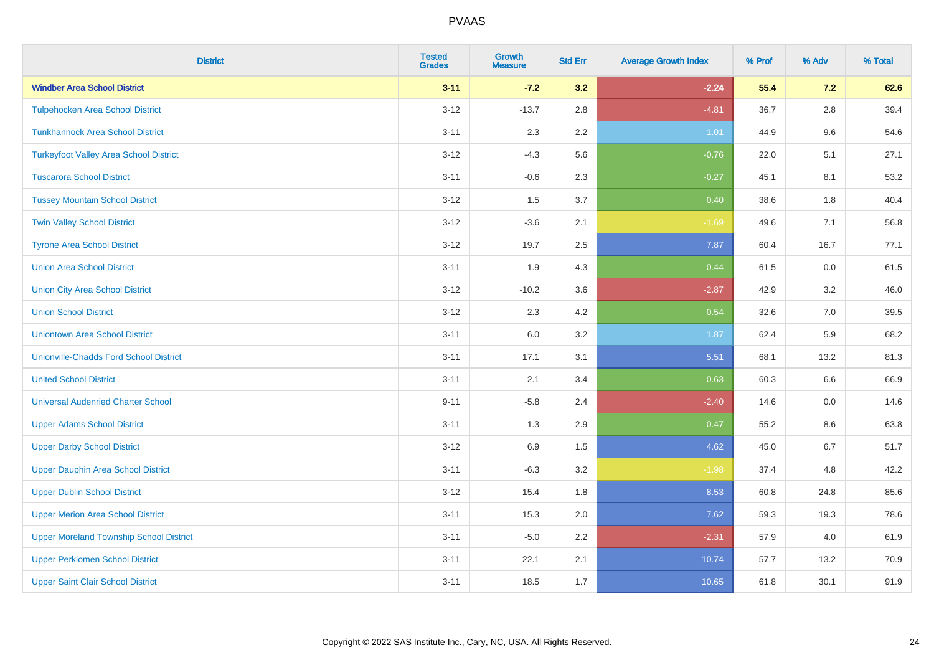| <b>District</b>                                | <b>Tested</b><br><b>Grades</b> | <b>Growth</b><br><b>Measure</b> | <b>Std Err</b> | <b>Average Growth Index</b> | % Prof | % Adv   | % Total |
|------------------------------------------------|--------------------------------|---------------------------------|----------------|-----------------------------|--------|---------|---------|
| <b>Windber Area School District</b>            | $3 - 11$                       | $-7.2$                          | 3.2            | $-2.24$                     | 55.4   | 7.2     | 62.6    |
| <b>Tulpehocken Area School District</b>        | $3 - 12$                       | $-13.7$                         | 2.8            | $-4.81$                     | 36.7   | $2.8\,$ | 39.4    |
| <b>Tunkhannock Area School District</b>        | $3 - 11$                       | 2.3                             | 2.2            | 1.01                        | 44.9   | 9.6     | 54.6    |
| <b>Turkeyfoot Valley Area School District</b>  | $3 - 12$                       | $-4.3$                          | 5.6            | $-0.76$                     | 22.0   | 5.1     | 27.1    |
| <b>Tuscarora School District</b>               | $3 - 11$                       | $-0.6$                          | 2.3            | $-0.27$                     | 45.1   | 8.1     | 53.2    |
| <b>Tussey Mountain School District</b>         | $3 - 12$                       | 1.5                             | 3.7            | 0.40                        | 38.6   | 1.8     | 40.4    |
| <b>Twin Valley School District</b>             | $3 - 12$                       | $-3.6$                          | 2.1            | $-1.69$                     | 49.6   | 7.1     | 56.8    |
| <b>Tyrone Area School District</b>             | $3 - 12$                       | 19.7                            | 2.5            | 7.87                        | 60.4   | 16.7    | 77.1    |
| <b>Union Area School District</b>              | $3 - 11$                       | 1.9                             | 4.3            | 0.44                        | 61.5   | 0.0     | 61.5    |
| <b>Union City Area School District</b>         | $3 - 12$                       | $-10.2$                         | 3.6            | $-2.87$                     | 42.9   | 3.2     | 46.0    |
| <b>Union School District</b>                   | $3 - 12$                       | 2.3                             | 4.2            | 0.54                        | 32.6   | 7.0     | 39.5    |
| <b>Uniontown Area School District</b>          | $3 - 11$                       | 6.0                             | 3.2            | 1.87                        | 62.4   | 5.9     | 68.2    |
| <b>Unionville-Chadds Ford School District</b>  | $3 - 11$                       | 17.1                            | 3.1            | 5.51                        | 68.1   | 13.2    | 81.3    |
| <b>United School District</b>                  | $3 - 11$                       | 2.1                             | 3.4            | 0.63                        | 60.3   | 6.6     | 66.9    |
| <b>Universal Audenried Charter School</b>      | $9 - 11$                       | $-5.8$                          | 2.4            | $-2.40$                     | 14.6   | 0.0     | 14.6    |
| <b>Upper Adams School District</b>             | $3 - 11$                       | 1.3                             | 2.9            | 0.47                        | 55.2   | $8.6\,$ | 63.8    |
| <b>Upper Darby School District</b>             | $3 - 12$                       | 6.9                             | 1.5            | 4.62                        | 45.0   | 6.7     | 51.7    |
| <b>Upper Dauphin Area School District</b>      | $3 - 11$                       | $-6.3$                          | 3.2            | $-1.98$                     | 37.4   | 4.8     | 42.2    |
| <b>Upper Dublin School District</b>            | $3 - 12$                       | 15.4                            | 1.8            | 8.53                        | 60.8   | 24.8    | 85.6    |
| <b>Upper Merion Area School District</b>       | $3 - 11$                       | 15.3                            | 2.0            | 7.62                        | 59.3   | 19.3    | 78.6    |
| <b>Upper Moreland Township School District</b> | $3 - 11$                       | $-5.0$                          | 2.2            | $-2.31$                     | 57.9   | 4.0     | 61.9    |
| <b>Upper Perkiomen School District</b>         | $3 - 11$                       | 22.1                            | 2.1            | 10.74                       | 57.7   | 13.2    | 70.9    |
| <b>Upper Saint Clair School District</b>       | $3 - 11$                       | 18.5                            | 1.7            | 10.65                       | 61.8   | 30.1    | 91.9    |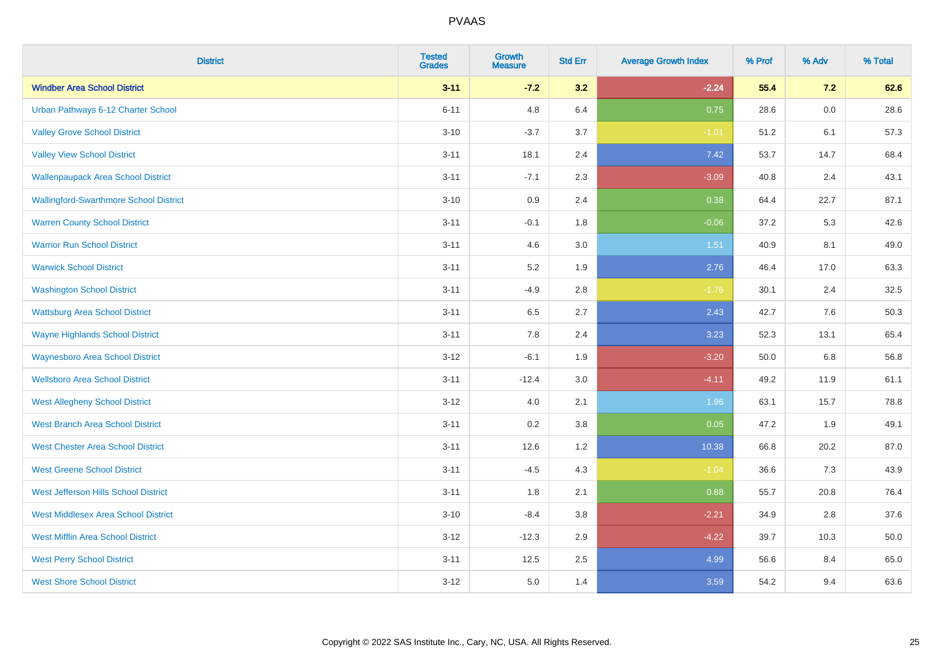| <b>District</b>                               | <b>Tested</b><br><b>Grades</b> | <b>Growth</b><br><b>Measure</b> | <b>Std Err</b> | <b>Average Growth Index</b> | % Prof | % Adv   | % Total |
|-----------------------------------------------|--------------------------------|---------------------------------|----------------|-----------------------------|--------|---------|---------|
| <b>Windber Area School District</b>           | $3 - 11$                       | $-7.2$                          | 3.2            | $-2.24$                     | 55.4   | 7.2     | 62.6    |
| Urban Pathways 6-12 Charter School            | $6 - 11$                       | 4.8                             | 6.4            | 0.75                        | 28.6   | $0.0\,$ | 28.6    |
| <b>Valley Grove School District</b>           | $3 - 10$                       | $-3.7$                          | 3.7            | $-1.01$                     | 51.2   | 6.1     | 57.3    |
| <b>Valley View School District</b>            | $3 - 11$                       | 18.1                            | 2.4            | 7.42                        | 53.7   | 14.7    | 68.4    |
| <b>Wallenpaupack Area School District</b>     | $3 - 11$                       | $-7.1$                          | 2.3            | $-3.09$                     | 40.8   | 2.4     | 43.1    |
| <b>Wallingford-Swarthmore School District</b> | $3 - 10$                       | 0.9                             | 2.4            | 0.38                        | 64.4   | 22.7    | 87.1    |
| <b>Warren County School District</b>          | $3 - 11$                       | $-0.1$                          | 1.8            | $-0.06$                     | 37.2   | 5.3     | 42.6    |
| <b>Warrior Run School District</b>            | $3 - 11$                       | 4.6                             | 3.0            | 1.51                        | 40.9   | 8.1     | 49.0    |
| <b>Warwick School District</b>                | $3 - 11$                       | 5.2                             | 1.9            | 2.76                        | 46.4   | 17.0    | 63.3    |
| <b>Washington School District</b>             | $3 - 11$                       | $-4.9$                          | 2.8            | $-1.76$                     | 30.1   | 2.4     | 32.5    |
| <b>Wattsburg Area School District</b>         | $3 - 11$                       | 6.5                             | 2.7            | 2.43                        | 42.7   | 7.6     | 50.3    |
| <b>Wayne Highlands School District</b>        | $3 - 11$                       | 7.8                             | 2.4            | 3.23                        | 52.3   | 13.1    | 65.4    |
| <b>Waynesboro Area School District</b>        | $3 - 12$                       | $-6.1$                          | 1.9            | $-3.20$                     | 50.0   | $6.8\,$ | 56.8    |
| <b>Wellsboro Area School District</b>         | $3 - 11$                       | $-12.4$                         | 3.0            | $-4.11$                     | 49.2   | 11.9    | 61.1    |
| <b>West Allegheny School District</b>         | $3 - 12$                       | $4.0\,$                         | 2.1            | 1.96                        | 63.1   | 15.7    | 78.8    |
| <b>West Branch Area School District</b>       | $3 - 11$                       | 0.2                             | 3.8            | 0.05                        | 47.2   | 1.9     | 49.1    |
| <b>West Chester Area School District</b>      | $3 - 11$                       | 12.6                            | 1.2            | 10.38                       | 66.8   | 20.2    | 87.0    |
| <b>West Greene School District</b>            | $3 - 11$                       | $-4.5$                          | 4.3            | $-1.04$                     | 36.6   | 7.3     | 43.9    |
| West Jefferson Hills School District          | $3 - 11$                       | 1.8                             | 2.1            | 0.88                        | 55.7   | 20.8    | 76.4    |
| <b>West Middlesex Area School District</b>    | $3 - 10$                       | $-8.4$                          | 3.8            | $-2.21$                     | 34.9   | 2.8     | 37.6    |
| <b>West Mifflin Area School District</b>      | $3 - 12$                       | $-12.3$                         | 2.9            | $-4.22$                     | 39.7   | 10.3    | 50.0    |
| <b>West Perry School District</b>             | $3 - 11$                       | 12.5                            | 2.5            | 4.99                        | 56.6   | 8.4     | 65.0    |
| <b>West Shore School District</b>             | $3 - 12$                       | 5.0                             | 1.4            | 3.59                        | 54.2   | 9.4     | 63.6    |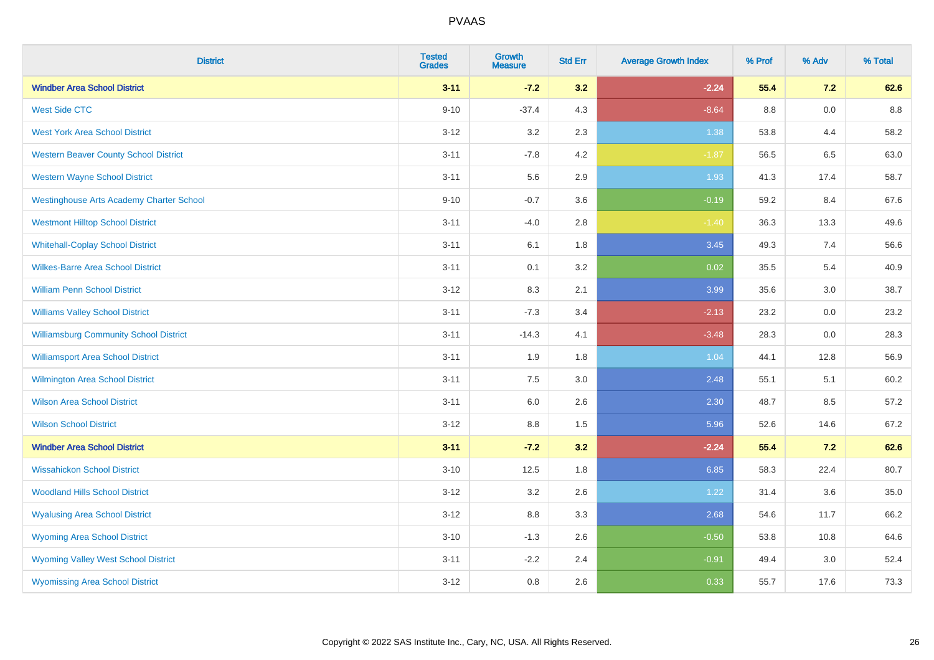| <b>District</b>                                 | <b>Tested</b><br><b>Grades</b> | <b>Growth</b><br><b>Measure</b> | <b>Std Err</b> | <b>Average Growth Index</b> | % Prof | % Adv | % Total |
|-------------------------------------------------|--------------------------------|---------------------------------|----------------|-----------------------------|--------|-------|---------|
| <b>Windber Area School District</b>             | $3 - 11$                       | $-7.2$                          | 3.2            | $-2.24$                     | 55.4   | 7.2   | 62.6    |
| <b>West Side CTC</b>                            | $9 - 10$                       | $-37.4$                         | 4.3            | $-8.64$                     | 8.8    | 0.0   | 8.8     |
| <b>West York Area School District</b>           | $3 - 12$                       | 3.2                             | 2.3            | 1.38                        | 53.8   | 4.4   | 58.2    |
| <b>Western Beaver County School District</b>    | $3 - 11$                       | $-7.8$                          | 4.2            | $-1.87$                     | 56.5   | 6.5   | 63.0    |
| <b>Western Wayne School District</b>            | $3 - 11$                       | 5.6                             | 2.9            | 1.93                        | 41.3   | 17.4  | 58.7    |
| <b>Westinghouse Arts Academy Charter School</b> | $9 - 10$                       | $-0.7$                          | 3.6            | $-0.19$                     | 59.2   | 8.4   | 67.6    |
| <b>Westmont Hilltop School District</b>         | $3 - 11$                       | $-4.0$                          | 2.8            | $-1.40$                     | 36.3   | 13.3  | 49.6    |
| <b>Whitehall-Coplay School District</b>         | $3 - 11$                       | 6.1                             | 1.8            | 3.45                        | 49.3   | 7.4   | 56.6    |
| <b>Wilkes-Barre Area School District</b>        | $3 - 11$                       | 0.1                             | 3.2            | 0.02                        | 35.5   | 5.4   | 40.9    |
| <b>William Penn School District</b>             | $3-12$                         | 8.3                             | 2.1            | 3.99                        | 35.6   | 3.0   | 38.7    |
| <b>Williams Valley School District</b>          | $3 - 11$                       | $-7.3$                          | 3.4            | $-2.13$                     | 23.2   | 0.0   | 23.2    |
| <b>Williamsburg Community School District</b>   | $3 - 11$                       | $-14.3$                         | 4.1            | $-3.48$                     | 28.3   | 0.0   | 28.3    |
| <b>Williamsport Area School District</b>        | $3 - 11$                       | 1.9                             | 1.8            | 1.04                        | 44.1   | 12.8  | 56.9    |
| <b>Wilmington Area School District</b>          | $3 - 11$                       | $7.5\,$                         | 3.0            | 2.48                        | 55.1   | 5.1   | 60.2    |
| <b>Wilson Area School District</b>              | $3 - 11$                       | 6.0                             | 2.6            | 2.30                        | 48.7   | 8.5   | 57.2    |
| <b>Wilson School District</b>                   | $3 - 12$                       | 8.8                             | 1.5            | 5.96                        | 52.6   | 14.6  | 67.2    |
| <b>Windber Area School District</b>             | $3 - 11$                       | $-7.2$                          | 3.2            | $-2.24$                     | 55.4   | 7.2   | 62.6    |
| <b>Wissahickon School District</b>              | $3 - 10$                       | 12.5                            | 1.8            | 6.85                        | 58.3   | 22.4  | 80.7    |
| <b>Woodland Hills School District</b>           | $3 - 12$                       | 3.2                             | 2.6            | 1.22                        | 31.4   | 3.6   | 35.0    |
| <b>Wyalusing Area School District</b>           | $3 - 12$                       | 8.8                             | 3.3            | 2.68                        | 54.6   | 11.7  | 66.2    |
| <b>Wyoming Area School District</b>             | $3 - 10$                       | $-1.3$                          | 2.6            | $-0.50$                     | 53.8   | 10.8  | 64.6    |
| <b>Wyoming Valley West School District</b>      | $3 - 11$                       | $-2.2$                          | 2.4            | $-0.91$                     | 49.4   | 3.0   | 52.4    |
| <b>Wyomissing Area School District</b>          | $3 - 12$                       | 0.8                             | 2.6            | 0.33                        | 55.7   | 17.6  | 73.3    |